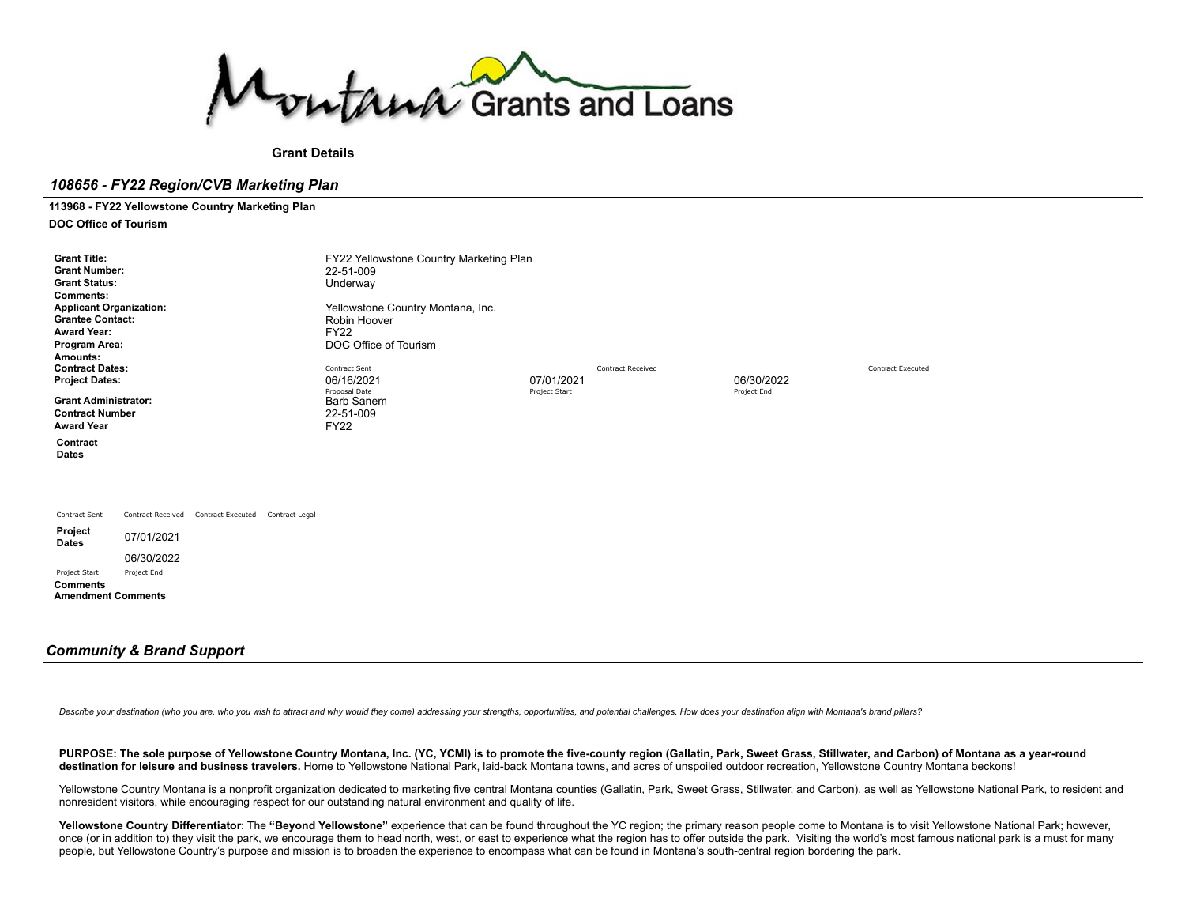

**Grant Details**

## *108656 - FY22 Region/CVB Marketing Plan*

**113968 - FY22 Yellowstone Country Marketing Plan**

**DOC Office of Tourism**

| <b>Grant Title:</b><br><b>Grant Number:</b><br><b>Grant Status:</b><br><b>Comments:</b><br><b>Applicant Organization:</b><br><b>Grantee Contact:</b><br><b>Award Year:</b><br>Program Area:<br>Amounts:<br><b>Contract Dates:</b><br><b>Project Dates:</b><br><b>Grant Administrator:</b><br><b>Contract Number</b><br><b>Award Year</b><br>Contract<br><b>Dates</b> |                           |                          |                | FY22 Yellowstone Country Marketing Plan<br>22-51-009<br>Underway<br>Yellowstone Country Montana, Inc.<br>Robin Hoover<br><b>FY22</b><br>DOC Office of Tourism<br>Contract Sent<br>06/16/2021<br>Proposal Date<br>Barb Sanem<br>22-51-009<br><b>FY22</b> | 07/01/2021<br>Project Start | <b>Contract Received</b> | 06/30/2022<br>Project End | <b>Contract Executed</b> |
|----------------------------------------------------------------------------------------------------------------------------------------------------------------------------------------------------------------------------------------------------------------------------------------------------------------------------------------------------------------------|---------------------------|--------------------------|----------------|---------------------------------------------------------------------------------------------------------------------------------------------------------------------------------------------------------------------------------------------------------|-----------------------------|--------------------------|---------------------------|--------------------------|
| Contract Sent                                                                                                                                                                                                                                                                                                                                                        | <b>Contract Received</b>  | <b>Contract Executed</b> | Contract Legal |                                                                                                                                                                                                                                                         |                             |                          |                           |                          |
| Project<br><b>Dates</b>                                                                                                                                                                                                                                                                                                                                              | 07/01/2021                |                          |                |                                                                                                                                                                                                                                                         |                             |                          |                           |                          |
| Project Start                                                                                                                                                                                                                                                                                                                                                        | 06/30/2022<br>Project End |                          |                |                                                                                                                                                                                                                                                         |                             |                          |                           |                          |
| <b>Comments</b><br><b>Amendment Comments</b>                                                                                                                                                                                                                                                                                                                         |                           |                          |                |                                                                                                                                                                                                                                                         |                             |                          |                           |                          |

## *Community & Brand Support*

Describe your destination (who you are, who you wish to attract and why would they come) addressing your strengths, opportunities, and potential challenges. How does your destination align with Montana's brand pillars?

PURPOSE: The sole purpose of Yellowstone Country Montana, Inc. (YC, YCMI) is to promote the five-county region (Gallatin, Park, Sweet Grass, Stillwater, and Carbon) of Montana as a year-round destination for leisure and business travelers. Home to Yellowstone National Park, laid-back Montana towns, and acres of unspoiled outdoor recreation. Yellowstone Country Montana beckons!

Yellowstone Country Montana is a nonprofit organization dedicated to marketing five central Montana counties (Gallatin, Park, Sweet Grass, Stillwater, and Carbon), as well as Yellowstone National Park, to resident and nonresident visitors, while encouraging respect for our outstanding natural environment and quality of life.

Yellowstone Country Differentiator: The "Beyond Yellowstone" experience that can be found throughout the YC region; the primary reason people come to Montana is to visit Yellowstone National Park; however, once (or in addition to) they visit the park, we encourage them to head north, west, or east to experience what the region has to offer outside the park. Visiting the world's most famous national park is a must for many people, but Yellowstone Country's purpose and mission is to broaden the experience to encompass what can be found in Montana's south-central region bordering the park.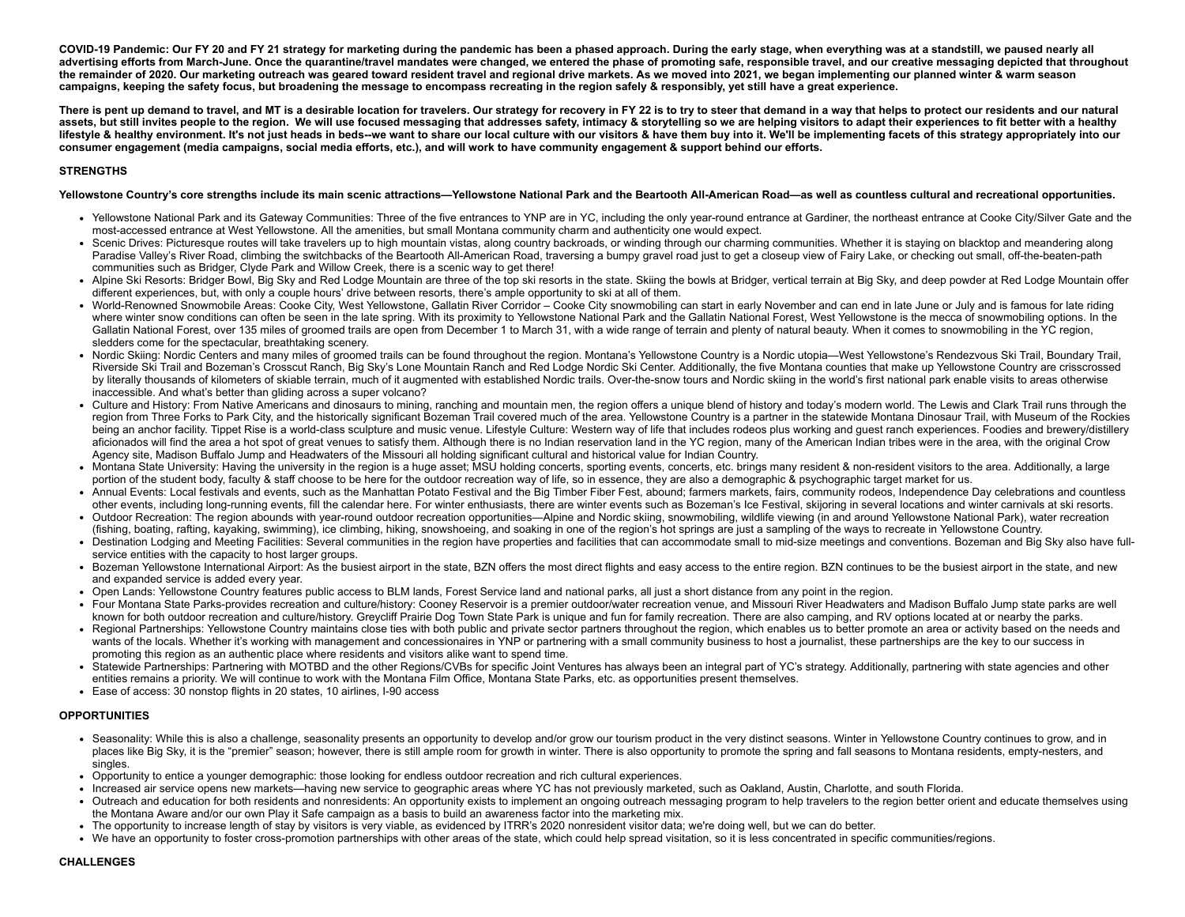COVID-19 Pandemic: Our FY 20 and FY 21 strategy for marketing during the pandemic has been a phased approach. During the early stage, when everything was at a standstill, we paused nearly all advertising efforts from March-June. Once the quarantine/travel mandates were changed, we entered the phase of promoting safe, responsible travel, and our creative messaging depicted that throughout the remainder of 2020. Our marketing outreach was geared toward resident travel and regional drive markets. As we moved into 2021, we began implementing our planned winter & warm season campaigns, keeping the safety focus, but broadening the message to encompass recreating in the region safely & responsibly, yet still have a great experience.

There is pent up demand to travel, and MT is a desirable location for travelers. Our strategy for recovery in FY 22 is to try to steer that demand in a way that helps to protect our residents and our natural assets, but still invites people to the region. We will use focused messaging that addresses safety, intimacy & storytelling so we are helping visitors to adapt their experiences to fit better with a healthy lifestyle & healthy environment. It's not just heads in beds--we want to share our local culture with our visitors & have them buy into it. We'll be implementing facets of this strategy appropriately into our consumer engagement (media campaigns, social media efforts, etc.), and will work to have community engagement & support behind our efforts.

## **STRENGTHS**

## Yellowstone Country's core strengths include its main scenic attractions—Yellowstone National Park and the Beartooth All-American Road—as well as countless cultural and recreational opportunities.

- Yellowstone National Park and its Gateway Communities: Three of the five entrances to YNP are in YC, including the only year-round entrance at Gardiner, the northeast entrance at Cooke City/Silver Gate and the most-accessed entrance at West Yellowstone. All the amenities, but small Montana community charm and authenticity one would expect.
- Scenic Drives: Picturesque routes will take travelers up to high mountain vistas, along country backroads, or winding through our charming communities. Whether it is staying on blacktop and meandering along Paradise Valley's River Road, climbing the switchbacks of the Beartooth All-American Road, traversing a bumpy gravel road just to get a closeup view of Fairy Lake, or checking out small, off-the-beaten-path communities such as Bridger, Clyde Park and Willow Creek, there is a scenic way to get there!
- Alpine Ski Resorts: Bridger Bowl, Big Sky and Red Lodge Mountain are three of the top ski resorts in the state. Skiing the bowls at Bridger, vertical terrain at Big Sky, and deep powder at Red Lodge Mountain offer different experiences, but, with only a couple hours' drive between resorts, there's ample opportunity to ski at all of them.
- World-Renowned Snowmobile Areas: Cooke City, West Yellowstone, Gallatin River Corridor Cooke City snowmobiling can start in early November and can end in late June or July and is famous for late riding where winter snow conditions can often be seen in the late spring. With its proximity to Yellowstone National Park and the Gallatin National Forest, West Yellowstone is the mecca of snowmobiling options. In the Gallatin National Forest, over 135 miles of groomed trails are open from December 1 to March 31, with a wide range of terrain and plenty of natural beauty. When it comes to snowmobiling in the YC region, sledders come for the spectacular, breathtaking scenery.
- Nordic Skiing: Nordic Centers and many miles of groomed trails can be found throughout the region. Montana's Yellowstone Country is a Nordic utopia—West Yellowstone's Rendezvous Ski Trail, Boundary Trail, Riverside Ski Trail and Bozeman's Crosscut Ranch, Big Sky's Lone Mountain Ranch and Red Lodge Nordic Ski Center. Additionally, the five Montana counties that make up Yellowstone Country are crisscrossed by literally thousands of kilometers of skiable terrain, much of it augmented with established Nordic trails. Over-the-snow tours and Nordic skiing in the world's first national park enable visits to areas otherwise inaccessible. And what's better than gliding across a super volcano?
- Culture and History: From Native Americans and dinosaurs to mining, ranching and mountain men, the region offers a unique blend of history and today's modern world. The Lewis and Clark Trail runs through the region from Three Forks to Park City, and the historically significant Bozeman Trail covered much of the area. Yellowstone Country is a partner in the statewide Montana Dinosaur Trail, with Museum of the Rockies being an anchor facility. Tippet Rise is a world-class sculpture and music venue. Lifestyle Culture: Western way of life that includes rodeos plus working and quest ranch experiences. Foodies and brewerv/distillery aficionados will find the area a hot spot of great venues to satisfy them. Although there is no Indian reservation land in the YC region, many of the American Indian tribes were in the area, with the original Crow Agency site, Madison Buffalo Jump and Headwaters of the Missouri all holding significant cultural and historical value for Indian Country.
- Montana State University: Having the university in the region is a huge asset; MSU holding concerts, sporting events, concerts, etc. brings many resident & non-resident visitors to the area. Additionally, a large portion of the student body, faculty & staff choose to be here for the outdoor recreation way of life, so in essence, they are also a demographic & psychographic target market for us.
- Annual Events: Local festivals and events, such as the Manhattan Potato Festival and the Big Timber Fiber Fest, abound; farmers markets, fairs, community rodeos, Independence Day celebrations and countless other events, including long-running events, fill the calendar here. For winter enthusiasts, there are winter events such as Bozeman's Ice Festival, skijoring in several locations and winter carnivals at ski resorts.
- Outdoor Recreation: The region abounds with year-round outdoor recreation opportunities—Alpine and Nordic skiing, snowmobiling, wildlife viewing (in and around Yellowstone National Park), water recreation (fishing, boating, rafting, kayaking, swimming), ice climbing, hiking, snowshoeing, and soaking in one of the region's hot springs are just a sampling of the ways to recreate in Yellowstone Country.
- Destination Lodging and Meeting Facilities: Several communities in the region have properties and facilities that can accommodate small to mid-size meetings and conventions. Bozeman and Big Sky also have fullservice entities with the capacity to host larger groups.
- Bozeman Yellowstone International Airport: As the busiest airport in the state, BZN offers the most direct flights and easy access to the entire region. BZN continues to be the busiest airport in the state, and new and expanded service is added every year.
- Open Lands: Yellowstone Country features public access to BLM lands, Forest Service land and national parks, all just a short distance from any point in the region.
- Four Montana State Parks-provides recreation and culture/history: Cooney Reservoir is a premier outdoor/water recreation venue, and Missouri River Headwaters and Madison Buffalo Jump state parks are well known for both outdoor recreation and culture/history. Greycliff Prairie Dog Town State Park is unique and fun for family recreation. There are also camping, and RV options located at or nearby the parks.
- Regional Partnerships: Yellowstone Country maintains close ties with both public and private sector partners throughout the region, which enables us to better promote an area or activity based on the needs and wants of the locals. Whether it's working with management and concessionaires in YNP or partnering with a small community business to host a journalist, these partnerships are the key to our success in promoting this region as an authentic place where residents and visitors alike want to spend time.
- Statewide Partnerships: Partnering with MOTBD and the other Regions/CVBs for specific Joint Ventures has always been an integral part of YC's strategy. Additionally, partnering with state agencies and other entities remains a priority. We will continue to work with the Montana Film Office, Montana State Parks, etc. as opportunities present themselves.
- Ease of access: 30 nonstop flights in 20 states, 10 airlines, I-90 access

## **OPPORTUNITIES**

- Seasonality: While this is also a challenge, seasonality presents an opportunity to develop and/or grow our tourism product in the very distinct seasons. Winter in Yellowstone Country continues to grow, and in places like Big Sky, it is the "premier" season; however, there is still ample room for growth in winter. There is also opportunity to promote the spring and fall seasons to Montana residents, empty-nesters, and singles.
- Opportunity to entice a younger demographic: those looking for endless outdoor recreation and rich cultural experiences.
- Increased air service opens new markets—having new service to geographic areas where YC has not previously marketed, such as Oakland, Austin, Charlotte, and south Florida.
- Outreach and education for both residents and nonresidents: An opportunity exists to implement an ongoing outreach messaging program to help travelers to the region better orient and educate themselves using the Montana Aware and/or our own Play it Safe campaign as a basis to build an awareness factor into the marketing mix.
- The opportunity to increase length of stay by visitors is very viable, as evidenced by ITRR's 2020 nonresident visitor data; we're doing well, but we can do better.
- We have an opportunity to foster cross-promotion partnerships with other areas of the state, which could help spread visitation, so it is less concentrated in specific communities/regions.

## **CHALLENGES**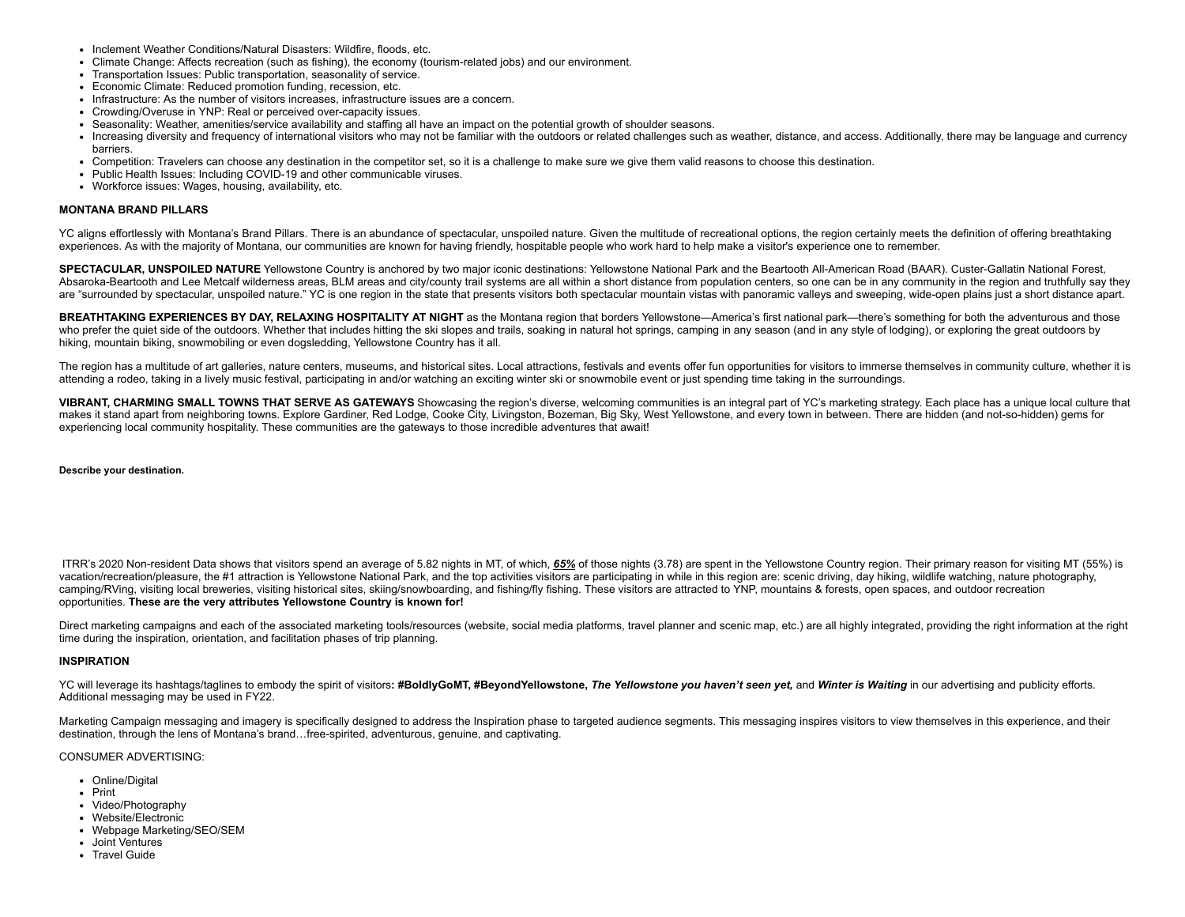- Inclement Weather Conditions/Natural Disasters: Wildfire, floods, etc.
- Climate Change: Affects recreation (such as fishing), the economy (tourism-related jobs) and our environment.
- Transportation Issues: Public transportation, seasonality of service.
- Economic Climate: Reduced promotion funding, recession, etc.
- Infrastructure: As the number of visitors increases, infrastructure issues are a concern.
- Crowding/Overuse in YNP: Real or perceived over-capacity issues.
- Seasonality: Weather, amenities/service availability and staffing all have an impact on the potential growth of shoulder seasons.
- Increasing diversity and frequency of international visitors who may not be familiar with the outdoors or related challenges such as weather, distance, and access. Additionally, there may be language and currency barriers.
- Competition: Travelers can choose any destination in the competitor set, so it is a challenge to make sure we give them valid reasons to choose this destination.
- Public Health Issues: Including COVID-19 and other communicable viruses.
- Workforce issues: Wages, housing, availability, etc.

### **MONTANA BRAND PILLARS**

YC aligns effortlessly with Montana's Brand Pillars. There is an abundance of spectacular, unspoiled nature. Given the multitude of recreational options, the region certainly meets the definition of offering breathtaking experiences. As with the majority of Montana, our communities are known for having friendly, hospitable people who work hard to help make a visitor's experience one to remember.

**SPECTACULAR, UNSPOILED NATURE** Yellowstone Country is anchored by two major iconic destinations: Yellowstone National Park and the Beartooth All-American Road (BAAR). Custer-Gallatin National Forest, Absaroka-Beartooth and Lee Metcalf wilderness areas, BLM areas and city/county trail systems are all within a short distance from population centers, so one can be in any community in the region and truthfully say they are "surrounded by spectacular, unspoiled nature." YC is one region in the state that presents visitors both spectacular mountain vistas with panoramic valleys and sweeping, wide-open plains just a short distance apart.

BREATHTAKING EXPERIENCES BY DAY, RELAXING HOSPITALITY AT NIGHT as the Montana region that borders Yellowstone—America's first national park—there's something for both the adventurous and those who prefer the quiet side of the outdoors. Whether that includes hitting the ski slopes and trails, soaking in natural hot springs, camping in any season (and in any style of lodging), or exploring the great outdoors by hiking, mountain biking, snowmobiling or even dogsledding, Yellowstone Country has it all.

The region has a multitude of art galleries, nature centers, museums, and historical sites, Local attractions, festivals and events offer fun opportunities for visitors to immerse themselves in community culture, whether i attending a rodeo, taking in a lively music festival, participating in and/or watching an exciting winter ski or snowmobile event or just spending time taking in the surroundings.

VIBRANT, CHARMING SMALL TOWNS THAT SERVE AS GATEWAYS Showcasing the region's diverse, welcoming communities is an integral part of YC's marketing strategy. Each place has a unique local culture that makes it stand apart from neighboring towns. Explore Gardiner, Red Lodge, Cooke City, Livingston, Bozeman, Big Sky, West Yellowstone, and every town in between. There are hidden (and not-so-hidden) gems for experiencing local community hospitality. These communities are the gateways to those incredible adventures that await!

**Describe your destination.**

ITRR's 2020 Non-resident Data shows that visitors spend an average of 5.82 nights in MT, of which, 65% of those nights (3.78) are spent in the Yellowstone Country region. Their primary reason for visiting MT (55%) is vacation/recreation/pleasure, the #1 attraction is Yellowstone National Park, and the top activities visitors are participating in while in this region are: scenic driving, day hiking, wildlife watching, nature photography camping/RVing, visiting local breweries, visiting historical sites, skiing/snowboarding, and fishing/fly fishing. These visitors are attracted to YNP, mountains & forests, open spaces, and outdoor recreation opportunities. **These are the very attributes Yellowstone Country is known for!**

Direct marketing campaigns and each of the associated marketing tools/resources (website, social media platforms, travel planner and scenic map, etc.) are all highly integrated, providing the right information at the right time during the inspiration, orientation, and facilitation phases of trip planning.

### **INSPIRATION**

YC will leverage its hashtags/taglines to embody the spirit of visitors: #BoldlyGoMT, #BeyondYellowstone, The Yellowstone you haven't seen yet, and Winter is Waiting in our advertising and publicity efforts. Additional messaging may be used in FY22.

Marketing Campaign messaging and imagery is specifically designed to address the Inspiration phase to targeted audience segments. This messaging inspires visitors to view themselves in this experience, and their destination, through the lens of Montana's brand…free-spirited, adventurous, genuine, and captivating.

#### CONSUMER ADVERTISING:

- Online/Digital
- Print
- Video/Photography
- Website/Electronic
- Webpage Marketing/SEO/SEM
- Joint Ventures
- Travel Guide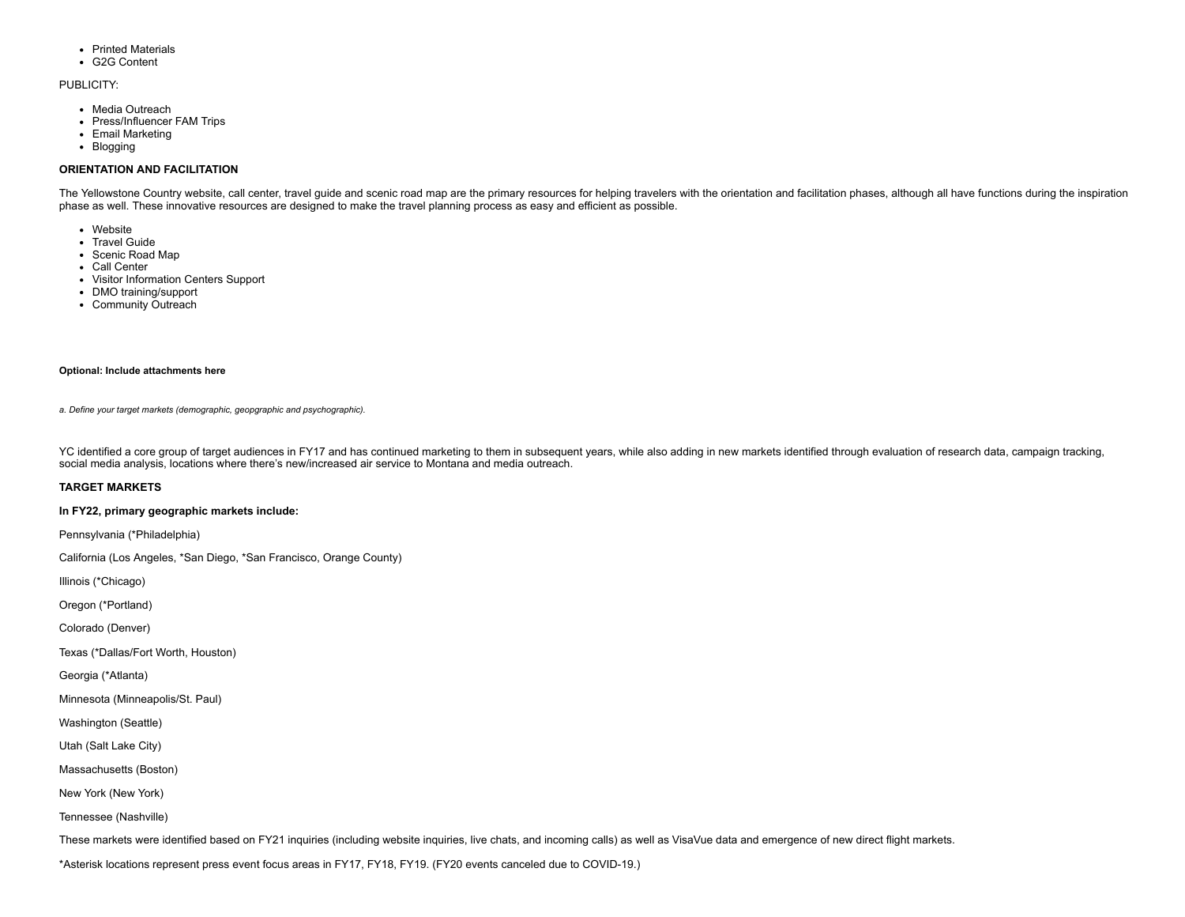- Printed Materials
- G2G Content

#### PUBLICITY:

- Media Outreach
- Press/Influencer FAM Trips
- Email Marketing
- Blogging

## **ORIENTATION AND FACILITATION**

The Yellowstone Country website, call center, travel guide and scenic road map are the primary resources for helping travelers with the orientation and facilitation phases, although all have functions during the inspiratio phase as well. These innovative resources are designed to make the travel planning process as easy and efficient as possible.

- Website
- Travel Guide
- Scenic Road Map
- Call Center
- Visitor Information Centers Support
- DMO training/support
- Community Outreach

### **Optional: Include attachments here**

*a. Define your target markets (demographic, geopgraphic and psychographic).*

YC identified a core group of target audiences in FY17 and has continued marketing to them in subsequent years, while also adding in new markets identified through evaluation of research data, campaign tracking, social media analysis, locations where there's new/increased air service to Montana and media outreach.

## **TARGET MARKETS**

#### **In FY22, primary geographic markets include:**

Pennsylvania (\*Philadelphia)

California (Los Angeles, \*San Diego, \*San Francisco, Orange County)

Illinois (\*Chicago)

Oregon (\*Portland)

Colorado (Denver)

Texas (\*Dallas/Fort Worth, Houston)

Georgia (\*Atlanta)

Minnesota (Minneapolis/St. Paul)

Washington (Seattle)

Utah (Salt Lake City)

Massachusetts (Boston)

New York (New York)

Tennessee (Nashville)

These markets were identified based on FY21 inquiries (including website inquiries, live chats, and incoming calls) as well as VisaVue data and emergence of new direct flight markets.

\*Asterisk locations represent press event focus areas in FY17, FY18, FY19. (FY20 events canceled due to COVID-19.)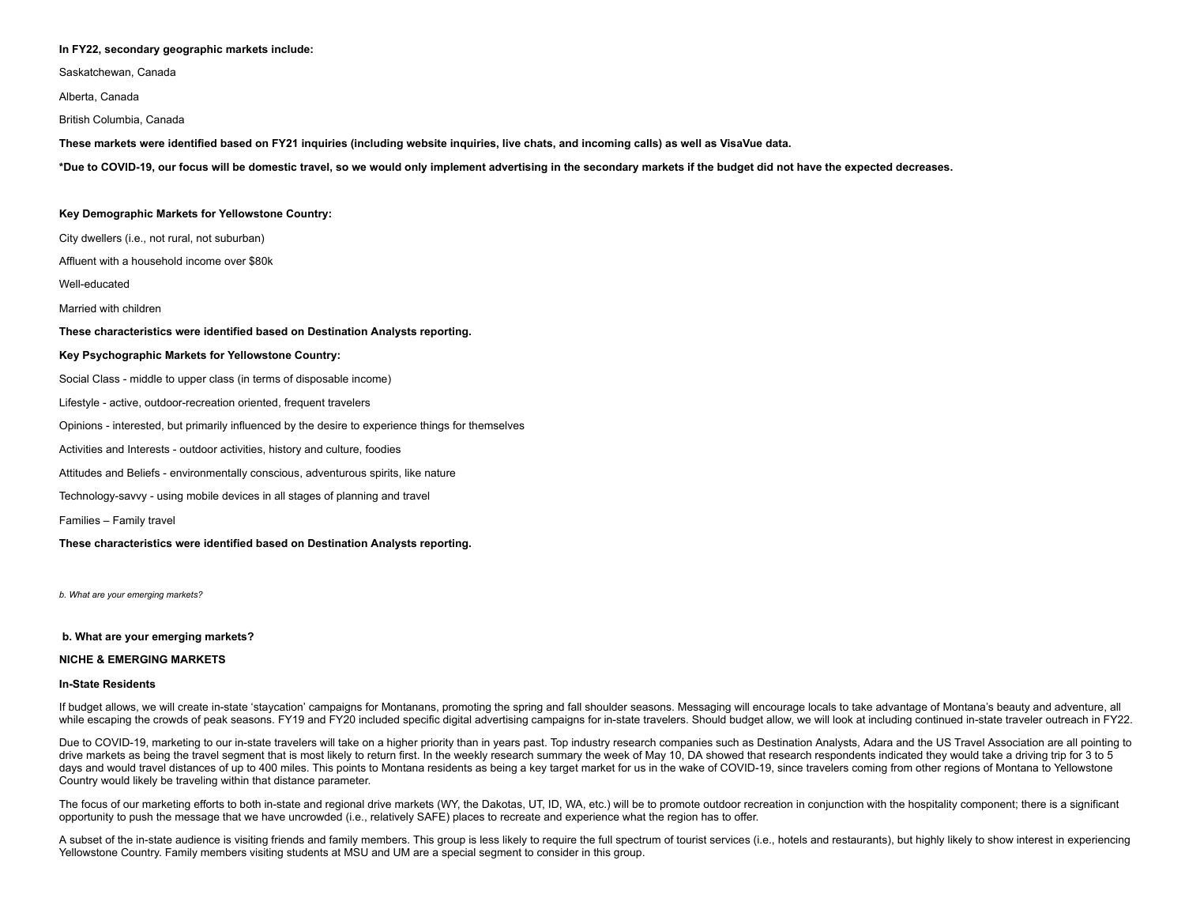#### **In FY22, secondary geographic markets include:**

Saskatchewan, Canada

Alberta, Canada

British Columbia, Canada

These markets were identified based on FY21 inquiries (including website inquiries, live chats, and incoming calls) as well as VisaVue data.

\*Due to COVID-19, our focus will be domestic travel, so we would only implement advertising in the secondary markets if the budget did not have the expected decreases.

#### **Key Demographic Markets for Yellowstone Country:**

City dwellers (i.e., not rural, not suburban)

Affluent with a household income over \$80k

Well-educated

Married with children

#### **These characteristics were identified based on Destination Analysts reporting.**

#### **Key Psychographic Markets for Yellowstone Country:**

Social Class - middle to upper class (in terms of disposable income)

Lifestyle - active, outdoor-recreation oriented, frequent travelers

Opinions - interested, but primarily influenced by the desire to experience things for themselves

Activities and Interests - outdoor activities, history and culture, foodies

Attitudes and Beliefs - environmentally conscious, adventurous spirits, like nature

Technology-savvy - using mobile devices in all stages of planning and travel

Families – Family travel

#### **These characteristics were identified based on Destination Analysts reporting.**

*b. What are your emerging markets?*

#### **b. What are your emerging markets?**

#### **NICHE & EMERGING MARKETS**

#### **In-State Residents**

If budget allows, we will create in-state 'staycation' campaigns for Montanans, promoting the spring and fall shoulder seasons. Messaging will encourage locals to take advantage of Montana's beauty and adventure, all while escaping the crowds of peak seasons. FY19 and FY20 included specific digital advertising campaigns for in-state travelers. Should budget allow, we will look at including continued in-state traveler outreach in FY22.

Due to COVID-19, marketing to our in-state travelers will take on a higher priority than in years past. Top industry research companies such as Destination Analysts, Adara and the US Travel Association are all pointing to drive markets as being the travel segment that is most likely to return first. In the weekly research summary the week of May 10, DA showed that research respondents indicated they would take a driving trip for 3 to 5 days and would travel distances of up to 400 miles. This points to Montana residents as being a key target market for us in the wake of COVID-19, since travelers coming from other regions of Montana to Yellowstone Country would likely be traveling within that distance parameter.

The focus of our marketing efforts to both in-state and regional drive markets (WY, the Dakotas, UT, ID, WA, etc.) will be to promote outdoor recreation in conjunction with the hospitality component; there is a significant opportunity to push the message that we have uncrowded (i.e., relatively SAFE) places to recreate and experience what the region has to offer.

A subset of the in-state audience is visiting friends and family members. This group is less likely to require the full spectrum of tourist services (i.e., hotels and restaurants), but highly likely to show interest in exp Yellowstone Country. Family members visiting students at MSU and UM are a special segment to consider in this group.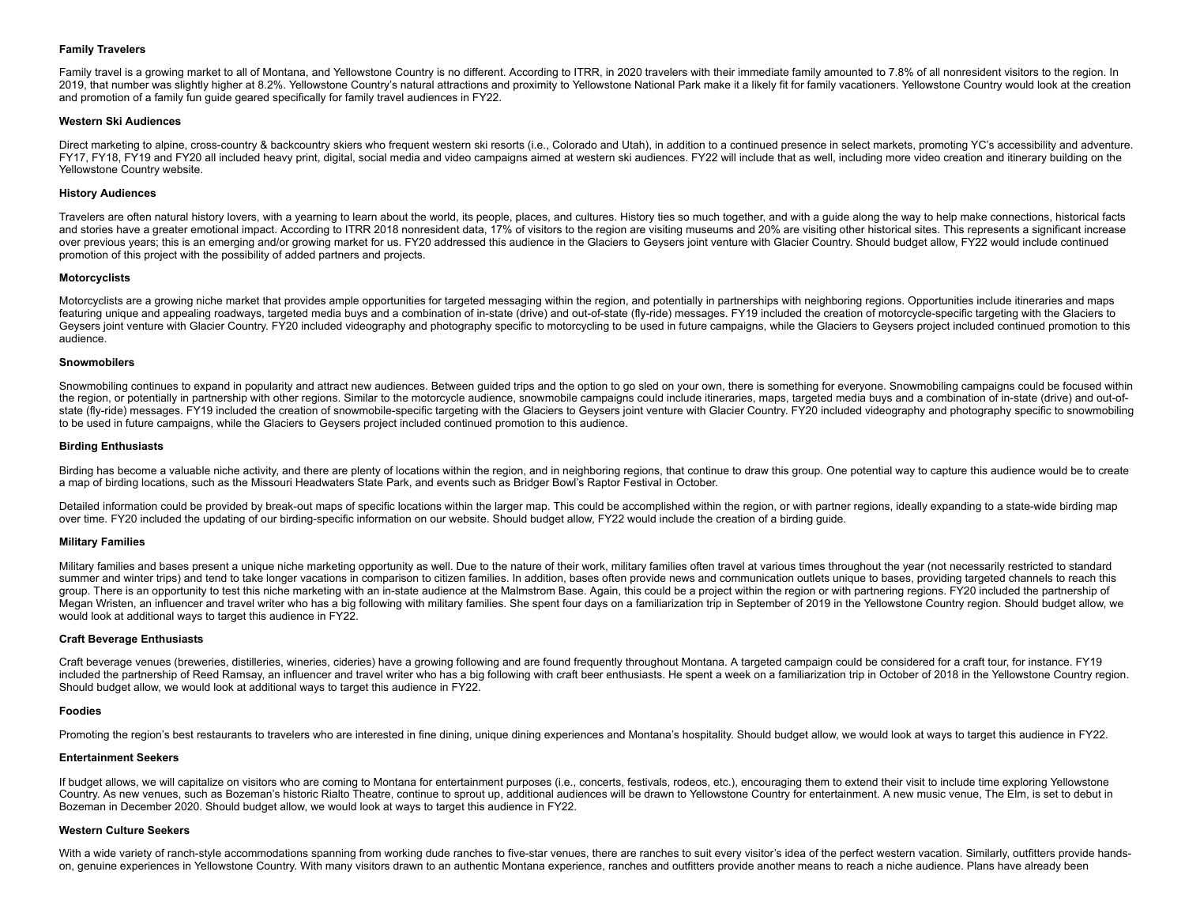## **Family Travelers**

Family travel is a growing market to all of Montana, and Yellowstone Country is no different. According to ITRR, in 2020 travelers with their immediate family amounted to 7.8% of all nonresident visitors to the region. In 2019, that number was slightly higher at 8.2%. Yellowstone Country's natural attractions and proximity to Yellowstone National Park make it a likely fit for family vacationers. Yellowstone Country would look at the creation and promotion of a family fun guide geared specifically for family travel audiences in FY22.

#### **Western Ski Audiences**

Direct marketing to alpine, cross-country & backcountry skiers who frequent western ski resorts (i.e., Colorado and Utah), in addition to a continued presence in select markets, promoting YC's accessibility and adventure. FY17, FY18, FY19 and FY20 all included heavy print, digital, social media and video campaigns aimed at western ski audiences. FY22 will include that as well, including more video creation and itinerary building on the Yellowstone Country website.

#### **History Audiences**

Travelers are often natural history lovers, with a yearning to learn about the world, its people, places, and cultures. History ties so much together, and with a guide along the way to help make connections, historical facts and stories have a greater emotional impact. According to ITRR 2018 nonresident data, 17% of visitors to the region are visiting museums and 20% are visiting other historical sites. This represents a significant increase over previous years; this is an emerging and/or growing market for us. FY20 addressed this audience in the Glaciers to Geysers joint venture with Glacier Country. Should budget allow, FY22 would include continued promotion of this project with the possibility of added partners and projects.

#### **Motorcyclists**

Motorcyclists are a growing niche market that provides ample opportunities for targeted messaging within the region, and potentially in partnerships with neighboring regions. Opportunities include itineraries and maps featuring unique and appealing roadways, targeted media buys and a combination of in-state (drive) and out-of-state (fly-ride) messages. FY19 included the creation of motorcycle-specific targeting with the Glaciers to Geysers joint venture with Glacier Country. FY20 included videography and photography specific to motorcycling to be used in future campaigns, while the Glaciers to Geysers project included continued promotion to this audience.

#### **Snowmobilers**

Snowmobiling continues to expand in popularity and attract new audiences. Between guided trips and the option to go sled on your own, there is something for everyone. Snowmobiling campaigns could be focused within the region, or potentially in partnership with other regions. Similar to the motorcycle audience, snowmobile campaigns could include itineraries, maps, targeted media buys and a combination of in-state (drive) and out-ofstate (fly-ride) messages. FY19 included the creation of snowmobile-specific targeting with the Glaciers to Geysers joint venture with Glacier Country. FY20 included videography and photography specific to snowmobiling to be used in future campaigns, while the Glaciers to Geysers project included continued promotion to this audience.

#### **Birding Enthusiasts**

Birding has become a valuable niche activity, and there are plenty of locations within the region, and in neighboring regions, that continue to draw this group. One potential way to capture this audience would be to create a map of birding locations, such as the Missouri Headwaters State Park, and events such as Bridger Bowl's Raptor Festival in October.

Detailed information could be provided by break-out maps of specific locations within the larger map. This could be accomplished within the region, or with partner regions, ideally expanding to a state-wide birding map over time. FY20 included the updating of our birding-specific information on our website. Should budget allow, FY22 would include the creation of a birding guide.

#### **Military Families**

Military families and bases present a unique niche marketing opportunity as well. Due to the nature of their work, military families often travel at various times throughout the year (not necessarily restricted to standard summer and winter trips) and tend to take longer vacations in comparison to citizen families. In addition, bases often provide news and communication outlets unique to bases, providing targeted channels to reach this group. There is an opportunity to test this niche marketing with an in-state audience at the Malmstrom Base. Again, this could be a project within the region or with partnering regions. FY20 included the partnership of Megan Wristen, an influencer and travel writer who has a big following with military families. She spent four days on a familiarization trip in September of 2019 in the Yellowstone Country region. Should budget allow, we would look at additional ways to target this audience in FY22.

#### **Craft Beverage Enthusiasts**

Craft beverage venues (breweries, distilleries, wineries, cideries) have a growing following and are found frequently throughout Montana. A targeted campaign could be considered for a craft tour, for instance. FY19 included the partnership of Reed Ramsay, an influencer and travel writer who has a big following with craft beer enthusiasts. He spent a week on a familiarization trip in October of 2018 in the Yellowstone Country region. Should budget allow, we would look at additional ways to target this audience in FY22.

#### **Foodies**

Promoting the region's best restaurants to travelers who are interested in fine dining, unique dining experiences and Montana's hospitality. Should budget allow, we would look at ways to target this audience in FY22.

#### **Entertainment Seekers**

If budget allows, we will capitalize on visitors who are coming to Montana for entertainment purposes (i.e., concerts, festivals, rodeos, etc.), encouraging them to extend their visit to include time exploring Yellowstone Country. As new venues, such as Bozeman's historic Rialto Theatre, continue to sprout up, additional audiences will be drawn to Yellowstone Country for entertainment. A new music venue, The Elm, is set to debut in Bozeman in December 2020. Should budget allow, we would look at ways to target this audience in FY22.

#### **Western Culture Seekers**

With a wide variety of ranch-style accommodations spanning from working dude ranches to five-star venues, there are ranches to suit every visitor's idea of the perfect western vacation. Similarly, outfitters provide handson, genuine experiences in Yellowstone Country. With many visitors drawn to an authentic Montana experience, ranches and outfitters provide another means to reach a niche audience. Plans have already been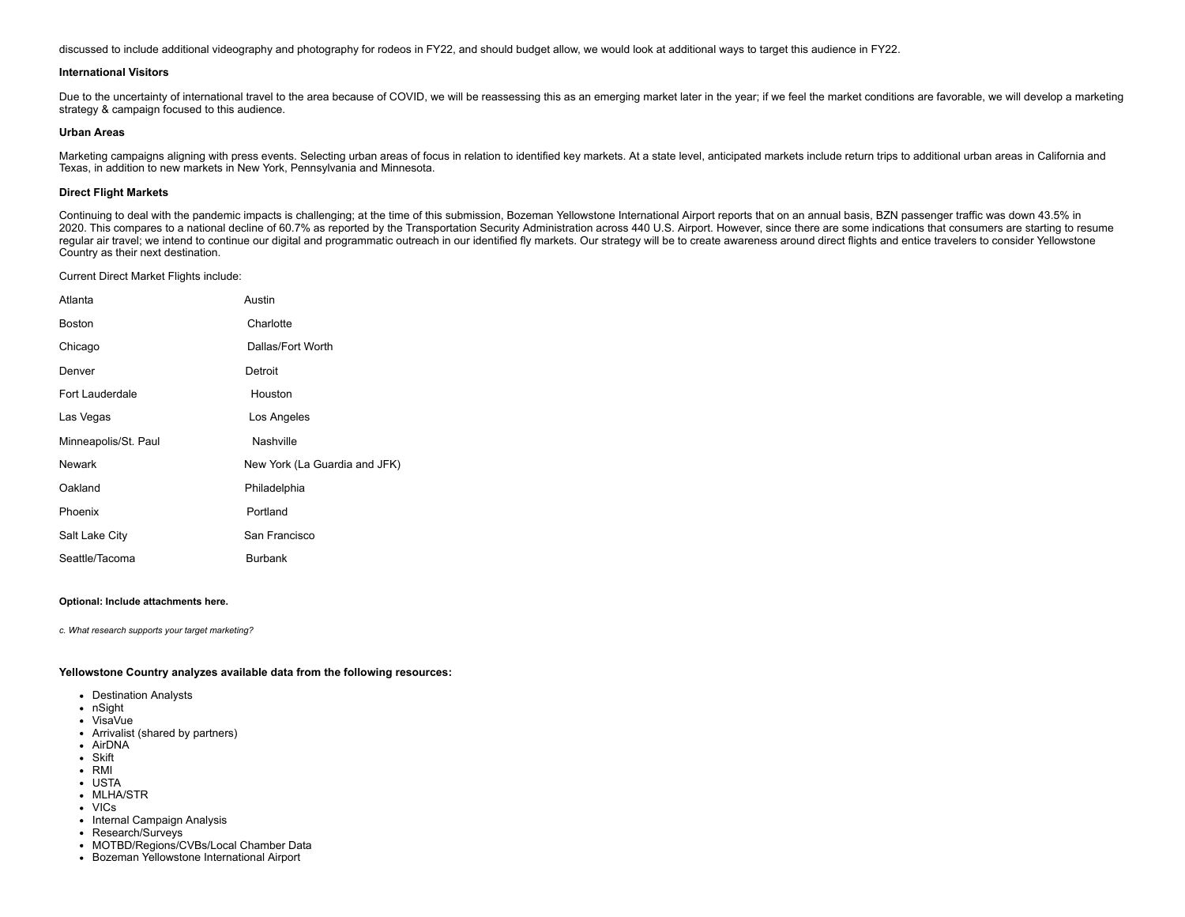discussed to include additional videography and photography for rodeos in FY22, and should budget allow, we would look at additional ways to target this audience in FY22.

#### **International Visitors**

Due to the uncertainty of international travel to the area because of COVID, we will be reassessing this as an emerging market later in the year; if we feel the market conditions are favorable, we will develop a marketing strategy & campaign focused to this audience.

#### **Urban Areas**

Marketing campaigns aligning with press events. Selecting urban areas of focus in relation to identified key markets. At a state level, anticipated markets include return trips to additional urban areas in California and Texas, in addition to new markets in New York, Pennsylvania and Minnesota.

#### **Direct Flight Markets**

Continuing to deal with the pandemic impacts is challenging; at the time of this submission, Bozeman Yellowstone International Airport reports that on an annual basis, BZN passenger traffic was down 43.5% in 2020. This compares to a national decline of 60.7% as reported by the Transportation Security Administration across 440 U.S. Airport. However, since there are some indications that consumers are starting to resume regular air travel; we intend to continue our digital and programmatic outreach in our identified fly markets. Our strategy will be to create awareness around direct flights and entice travelers to consider Yellowstone Country as their next destination.

Current Direct Market Flights include:

| Atlanta              | Austin                        |
|----------------------|-------------------------------|
| <b>Boston</b>        | Charlotte                     |
| Chicago              | Dallas/Fort Worth             |
| Denver               | Detroit                       |
| Fort Lauderdale      | Houston                       |
| Las Vegas            | Los Angeles                   |
| Minneapolis/St. Paul | Nashville                     |
| <b>Newark</b>        | New York (La Guardia and JFK) |
| Oakland              | Philadelphia                  |
| Phoenix              | Portland                      |
| Salt Lake City       | San Francisco                 |
| Seattle/Tacoma       | <b>Burbank</b>                |

#### **Optional: Include attachments here.**

*c. What research supports your target marketing?*

**Yellowstone Country analyzes available data from the following resources:**

- Destination Analysts
- nSight
- VisaVue
- Arrivalist (shared by partners)
- AirDNA
- Skift
- RMI
- USTA
- MLHA/STR
- VICs
- Internal Campaign Analysis
- Research/Surveys
- MOTBD/Regions/CVBs/Local Chamber Data
- Bozeman Yellowstone International Airport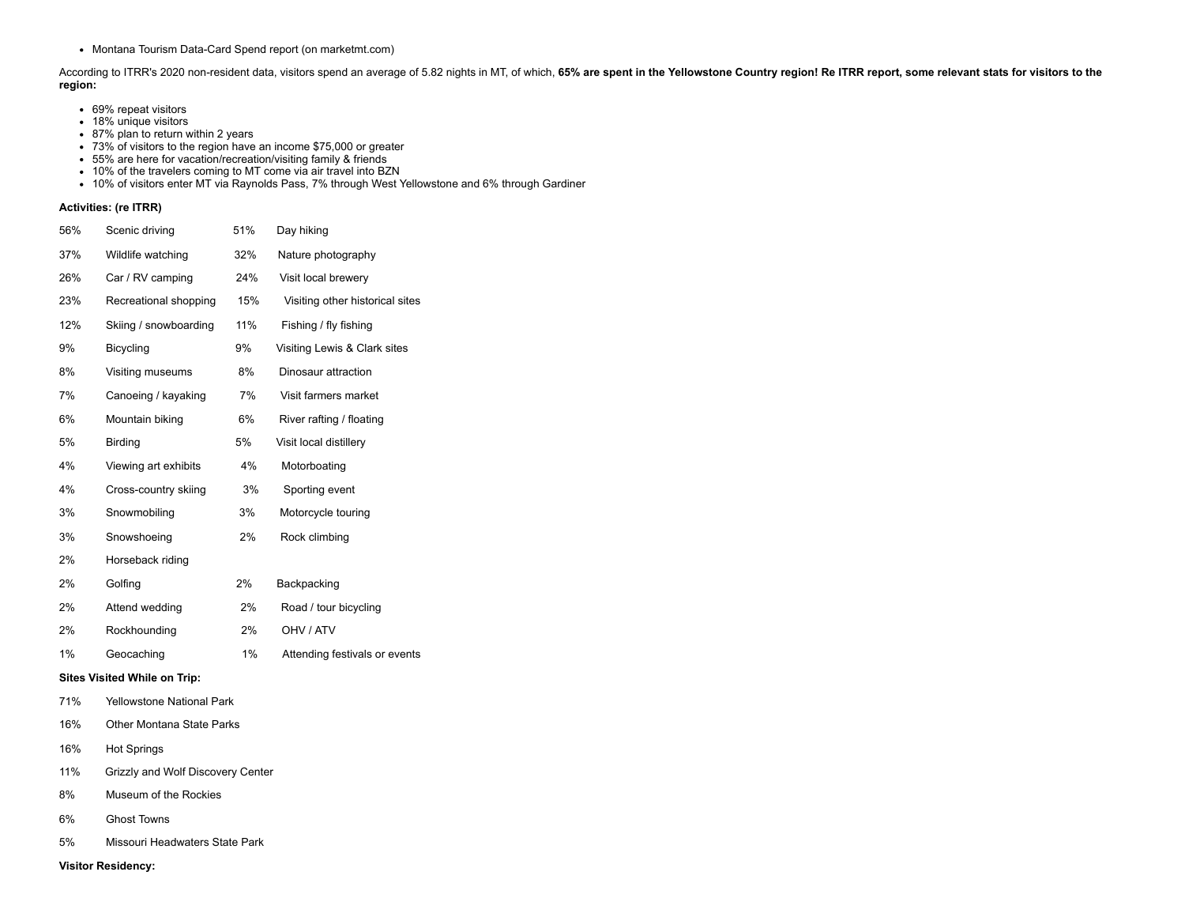• Montana Tourism Data-Card Spend report (on marketmt.com)

According to ITRR's 2020 non-resident data, visitors spend an average of 5.82 nights in MT, of which, 65% are spent in the Yellowstone Country region! Re ITRR report, some relevant stats for visitors to the **region:**

- 69% repeat visitors
- 18% unique visitors
- 87% plan to return within 2 years
- 73% of visitors to the region have an income \$75,000 or greater
- 55% are here for vacation/recreation/visiting family & friends
- 10% of the travelers coming to MT come via air travel into BZN
- 10% of visitors enter MT via Raynolds Pass, 7% through West Yellowstone and 6% through Gardiner

#### **Activities: (re ITRR)**

| 56% | Scenic driving                   | 51% | Day hiking                      |
|-----|----------------------------------|-----|---------------------------------|
| 37% | Wildlife watching                | 32% | Nature photography              |
| 26% | Car / RV camping                 | 24% | Visit local brewery             |
| 23% | Recreational shopping            | 15% | Visiting other historical sites |
| 12% | Skiing / snowboarding            | 11% | Fishing / fly fishing           |
| 9%  | <b>Bicycling</b>                 | 9%  | Visiting Lewis & Clark sites    |
| 8%  | Visiting museums                 | 8%  | Dinosaur attraction             |
| 7%  | Canoeing / kayaking              | 7%  | Visit farmers market            |
| 6%  | Mountain biking                  | 6%  | River rafting / floating        |
| 5%  | Birding                          | 5%  | Visit local distillery          |
| 4%  | Viewing art exhibits             | 4%  | Motorboating                    |
| 4%  | Cross-country skiing             | 3%  | Sporting event                  |
| 3%  | Snowmobiling                     | 3%  | Motorcycle touring              |
| 3%  | Snowshoeing                      | 2%  | Rock climbing                   |
| 2%  | Horseback riding                 |     |                                 |
| 2%  | Golfing                          | 2%  | Backpacking                     |
| 2%  | Attend wedding                   | 2%  | Road / tour bicycling           |
| 2%  | Rockhounding                     | 2%  | OHV / ATV                       |
| 1%  | Geocaching                       | 1%  | Attending festivals or events   |
|     | Sites Visited While on Trip:     |     |                                 |
| 71% | <b>Yellowstone National Park</b> |     |                                 |
| 16% | <b>Other Montana State Parks</b> |     |                                 |
|     |                                  |     |                                 |

- 16% Hot Springs
- 11% Grizzly and Wolf Discovery Center
- 8% Museum of the Rockies
- 6% Ghost Towns
- 5% Missouri Headwaters State Park

**Visitor Residency:**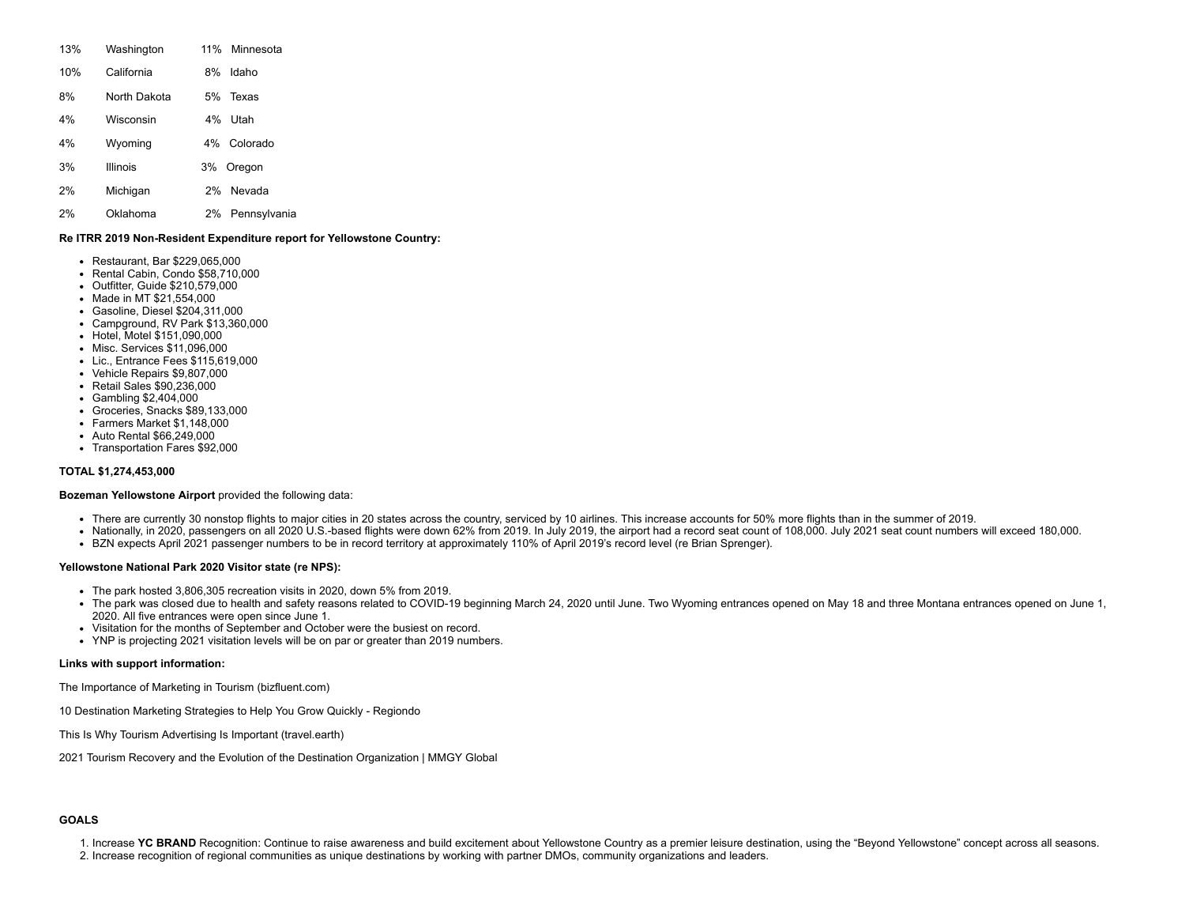| 13% | Washington   | 11% Minnesota      |
|-----|--------------|--------------------|
| 10% | California   | Idaho<br>8%        |
| 8%  | North Dakota | Texas<br>5%        |
| 4%  | Wisconsin    | 4%<br>Utah         |
| 4%  | Wyoming      | Colorado<br>4%     |
| 3%  | Illinois     | Oregon<br>3%       |
| 2%  | Michigan     | Nevada<br>2%       |
| 2%  | Oklahoma     | Pennsylvania<br>2% |

## **Re ITRR 2019 Non-Resident Expenditure report for Yellowstone Country:**

- Restaurant, Bar \$229,065,000
- Rental Cabin, Condo \$58,710,000
- Outfitter, Guide \$210,579,000
- Made in MT \$21,554,000
- Gasoline, Diesel \$204,311,000
- Campground, RV Park \$13,360,000
- Hotel, Motel \$151,090,000
- Misc. Services \$11,096,000
- Lic., Entrance Fees \$115,619,000
- Vehicle Repairs \$9,807,000
- Retail Sales \$90,236,000
- Gambling \$2,404,000
- Groceries, Snacks \$89,133,000
- Farmers Market \$1,148,000
- Auto Rental \$66,249,000
- Transportation Fares \$92,000

#### **TOTAL \$1,274,453,000**

## **Bozeman Yellowstone Airport** provided the following data:

- There are currently 30 nonstop flights to major cities in 20 states across the country, serviced by 10 airlines. This increase accounts for 50% more flights than in the summer of 2019.
- Nationally, in 2020, passengers on all 2020 U.S.-based flights were down 62% from 2019. In July 2019, the airport had a record seat count of 108,000. July 2021 seat count numbers will exceed 180,000.
- BZN expects April 2021 passenger numbers to be in record territory at approximately 110% of April 2019's record level (re Brian Sprenger).

## **Yellowstone National Park 2020 Visitor state (re NPS):**

- The park hosted 3,806,305 recreation visits in 2020, down 5% from [2019.](https://www.nps.gov/yell/learn/news/20002.htm)
- The park was closed due to health and safety reasons related to COVID-19 beginning March 24, 2020 until June. Two Wyoming entrances opened on May 18 and three Montana entrances opened on June 1, 2020. All five entrances were open since June 1.
- Visitation for the months of [September](https://www.nps.gov/yell/learn/news/20041.htm) and [October](https://www.nps.gov/yell/learn/news/20046.htm) were the busiest on record.
- YNP is projecting 2021 visitation levels will be on par or greater than 2019 numbers.

## **Links with support information:**

The Importance of Marketing in Tourism [\(bizfluent.com\)](https://bizfluent.com/about-6584954-importance-marketing-tourism.html)

10 [Destination](https://pro.regiondo.com/destination-marketing-strategies/) Marketing Strategies to Help You Grow Quickly - Regiondo

This Is Why Tourism Advertising Is Important [\(travel.earth\)](https://travel.earth/why-tourism-advertising-important/)

2021 Tourism Recovery and the Evolution of the Destination [Organization](https://www.mmgyglobal.com/news/2021-tourism-recovery-and-the-evolution-of-the-destination-organization/) | MMGY Global

## **GOALS**

1. Increase **YC BRAND** Recognition: Continue to raise awareness and build excitement about Yellowstone Country as a premier leisure destination, using the "Beyond Yellowstone" concept across all seasons.

2. Increase recognition of regional communities as unique destinations by working with partner DMOs, community organizations and leaders.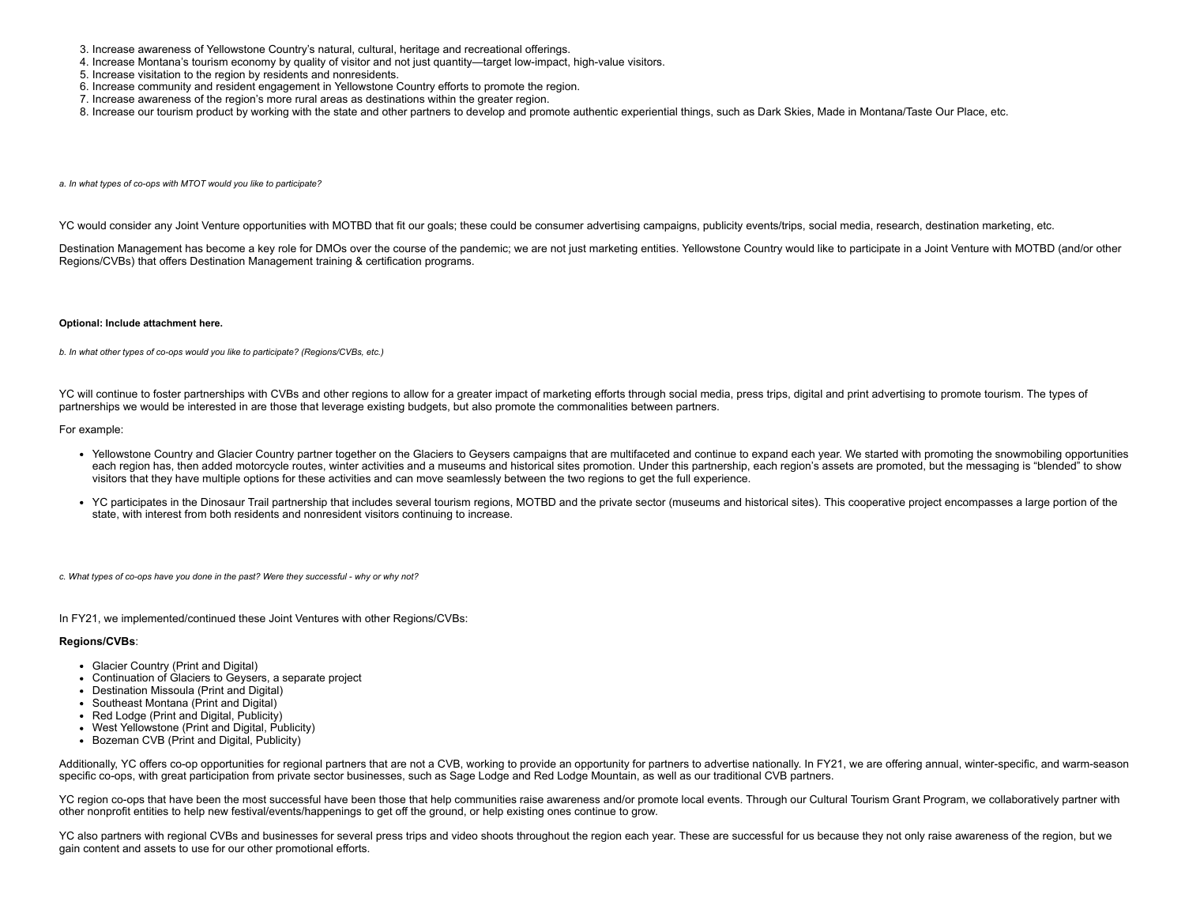- 3. Increase awareness of Yellowstone Country's natural, cultural, heritage and recreational offerings.
- 4. Increase Montana's tourism economy by quality of visitor and not just quantity—target low-impact, high-value visitors.
- 5. Increase visitation to the region by residents and nonresidents.
- 6. Increase community and resident engagement in Yellowstone Country efforts to promote the region.
- 7. Increase awareness of the region's more rural areas as destinations within the greater region.
- 8. Increase our tourism product by working with the state and other partners to develop and promote authentic experiential things, such as Dark Skies, Made in Montana/Taste Our Place, etc.
- *a. In what types of co-ops with MTOT would you like to participate?*

YC would consider any Joint Venture opportunities with MOTBD that fit our goals; these could be consumer advertising campaigns, publicity events/trips, social media, research, destination marketing, etc.

Destination Management has become a key role for DMOs over the course of the pandemic; we are not just marketing entities. Yellowstone Country would like to participate in a Joint Venture with MOTBD (and/or other Regions/CVBs) that offers Destination Management training & certification programs.

#### **Optional: Include attachment here.**

*b. In what other types of co-ops would you like to participate? (Regions/CVBs, etc.)*

YC will continue to foster partnerships with CVBs and other regions to allow for a greater impact of marketing efforts through social media, press trips, digital and print advertising to promote tourism. The types of partnerships we would be interested in are those that leverage existing budgets, but also promote the commonalities between partners.

#### For example:

- Yellowstone Country and Glacier Country partner together on the Glaciers to Geysers campaigns that are multifaceted and continue to expand each year. We started with promoting the snowmobiling opportunities each region has, then added motorcycle routes, winter activities and a museums and historical sites promotion. Under this partnership, each region's assets are promoted, but the messaging is "blended" to show visitors that they have multiple options for these activities and can move seamlessly between the two regions to get the full experience.
- YC participates in the Dinosaur Trail partnership that includes several tourism regions, MOTBD and the private sector (museums and historical sites). This cooperative project encompasses a large portion of the state, with interest from both residents and nonresident visitors continuing to increase.

*c. What types of co-ops have you done in the past? Were they successful - why or why not?*

In FY21, we implemented/continued these Joint Ventures with other Regions/CVBs:

#### **Regions/CVBs**:

- Glacier Country (Print and Digital)
- Continuation of Glaciers to Geysers, a separate project
- Destination Missoula (Print and Digital)
- Southeast Montana (Print and Digital)
- Red Lodge (Print and Digital, Publicity)
- West Yellowstone (Print and Digital, Publicity)
- Bozeman CVB (Print and Digital, Publicity)

Additionally, YC offers co-op opportunities for regional partners that are not a CVB, working to provide an opportunity for partners to advertise nationally. In FY21, we are offering annual, winter-specific, and warm-seaso specific co-ops, with great participation from private sector businesses, such as Sage Lodge and Red Lodge Mountain, as well as our traditional CVB partners.

YC region co-ops that have been the most successful have been those that help communities raise awareness and/or promote local events. Through our Cultural Tourism Grant Program, we collaboratively partner with other nonprofit entities to help new festival/events/happenings to get off the ground, or help existing ones continue to grow.

YC also partners with regional CVBs and businesses for several press trips and video shoots throughout the region each year. These are successful for us because they not only raise awareness of the region, but we gain content and assets to use for our other promotional efforts.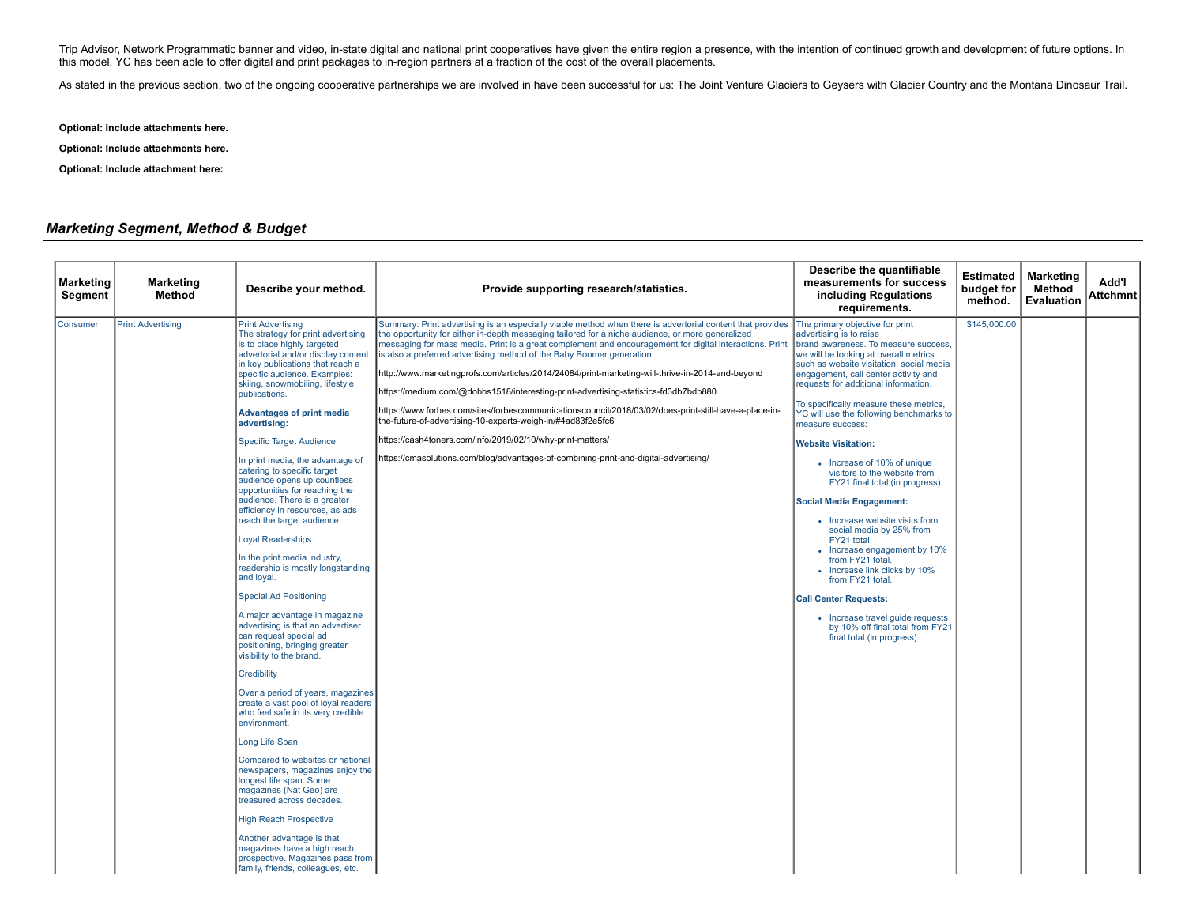Trip Advisor, Network Programmatic banner and video, in-state digital and national print cooperatives have given the entire region a presence, with the intention of continued growth and development of future options. In this model, YC has been able to offer digital and print packages to in-region partners at a fraction of the cost of the overall placements.

As stated in the previous section, two of the ongoing cooperative partnerships we are involved in have been successful for us: The Joint Venture Glaciers to Geysers with Glacier Country and the Montana Dinosaur Trail.

**Optional: Include attachments here.**

**Optional: Include attachments here.**

**Optional: Include attachment here:**

# *Marketing Segment, Method & Budget*

| <b>Marketing</b><br>Segment | <b>Marketing</b><br><b>Method</b> | Describe your method.                                                                                                                                                                                                                                                                                                                                                                                                                                                                                                                                                                                                                                                                                                                                                                                                                                                                                                                                                                                                                                                                                                                                                                                                                                                                                                                                                                                   | Provide supporting research/statistics.                                                                                                                                                                                                                                                                                                                                                                                                                                                                                                                                                                                                                                                                                                                                                                                                                                                                                    | Describe the quantifiable<br>measurements for success<br>including Regulations<br>requirements.                                                                                                                                                                                                                                                                                                                                                                                                                                                                                                                                                                                                                                                                                                                                                                                 | Estimated<br>budget for<br>method. | <b>Marketing</b><br>Method<br>Evaluation | Add'l<br><b>Attchmnt</b> |
|-----------------------------|-----------------------------------|---------------------------------------------------------------------------------------------------------------------------------------------------------------------------------------------------------------------------------------------------------------------------------------------------------------------------------------------------------------------------------------------------------------------------------------------------------------------------------------------------------------------------------------------------------------------------------------------------------------------------------------------------------------------------------------------------------------------------------------------------------------------------------------------------------------------------------------------------------------------------------------------------------------------------------------------------------------------------------------------------------------------------------------------------------------------------------------------------------------------------------------------------------------------------------------------------------------------------------------------------------------------------------------------------------------------------------------------------------------------------------------------------------|----------------------------------------------------------------------------------------------------------------------------------------------------------------------------------------------------------------------------------------------------------------------------------------------------------------------------------------------------------------------------------------------------------------------------------------------------------------------------------------------------------------------------------------------------------------------------------------------------------------------------------------------------------------------------------------------------------------------------------------------------------------------------------------------------------------------------------------------------------------------------------------------------------------------------|---------------------------------------------------------------------------------------------------------------------------------------------------------------------------------------------------------------------------------------------------------------------------------------------------------------------------------------------------------------------------------------------------------------------------------------------------------------------------------------------------------------------------------------------------------------------------------------------------------------------------------------------------------------------------------------------------------------------------------------------------------------------------------------------------------------------------------------------------------------------------------|------------------------------------|------------------------------------------|--------------------------|
| Consumer                    | <b>Print Advertising</b>          | <b>Print Advertising</b><br>The strategy for print advertising<br>is to place highly targeted<br>advertorial and/or display content<br>in key publications that reach a<br>specific audience. Examples:<br>skiing, snowmobiling, lifestyle<br>publications.<br><b>Advantages of print media</b><br>advertising:<br><b>Specific Target Audience</b><br>In print media, the advantage of<br>catering to specific target<br>audience opens up countless<br>opportunities for reaching the<br>audience. There is a greater<br>efficiency in resources, as ads<br>reach the target audience.<br><b>Loyal Readerships</b><br>In the print media industry,<br>readership is mostly longstanding<br>and loyal.<br><b>Special Ad Positioning</b><br>A major advantage in magazine<br>advertising is that an advertiser<br>can request special ad<br>positioning, bringing greater<br>visibility to the brand.<br>Credibility<br>Over a period of years, magazines<br>create a vast pool of loyal readers<br>who feel safe in its very credible<br>environment.<br>Long Life Span<br>Compared to websites or national<br>newspapers, magazines enjoy the<br>longest life span. Some<br>magazines (Nat Geo) are<br>treasured across decades.<br><b>High Reach Prospective</b><br>Another advantage is that<br>magazines have a high reach<br>prospective. Magazines pass from<br>family, friends, colleagues, etc. | Summary: Print advertising is an especially viable method when there is advertorial content that provides<br>the opportunity for either in-depth messaging tailored for a niche audience, or more generalized<br>messaging for mass media. Print is a great complement and encouragement for digital interactions. Print<br>is also a preferred advertising method of the Baby Boomer generation.<br>http://www.marketingprofs.com/articles/2014/24084/print-marketing-will-thrive-in-2014-and-beyond<br>https://medium.com/@dobbs1518/interesting-print-advertising-statistics-fd3db7bdb880<br>https://www.forbes.com/sites/forbescommunicationscouncil/2018/03/02/does-print-still-have-a-place-in-<br>the-future-of-advertising-10-experts-weigh-in/#4ad83f2e5fc6<br>https://cash4toners.com/info/2019/02/10/why-print-matters/<br>https://cmasolutions.com/blog/advantages-of-combining-print-and-digital-advertising/ | The primary objective for print<br>advertising is to raise<br>brand awareness. To measure success,<br>we will be looking at overall metrics<br>such as website visitation, social media<br>engagement, call center activity and<br>requests for additional information.<br>To specifically measure these metrics,<br>YC will use the following benchmarks to<br>measure success:<br><b>Website Visitation:</b><br>• Increase of 10% of unique<br>visitors to the website from<br>FY21 final total (in progress).<br><b>Social Media Engagement:</b><br>• Increase website visits from<br>social media by 25% from<br>FY21 total.<br>• Increase engagement by 10%<br>from FY21 total.<br>• Increase link clicks by 10%<br>from FY21 total.<br><b>Call Center Requests:</b><br>• Increase travel guide requests<br>by 10% off final total from FY21<br>final total (in progress). | \$145,000.00                       |                                          |                          |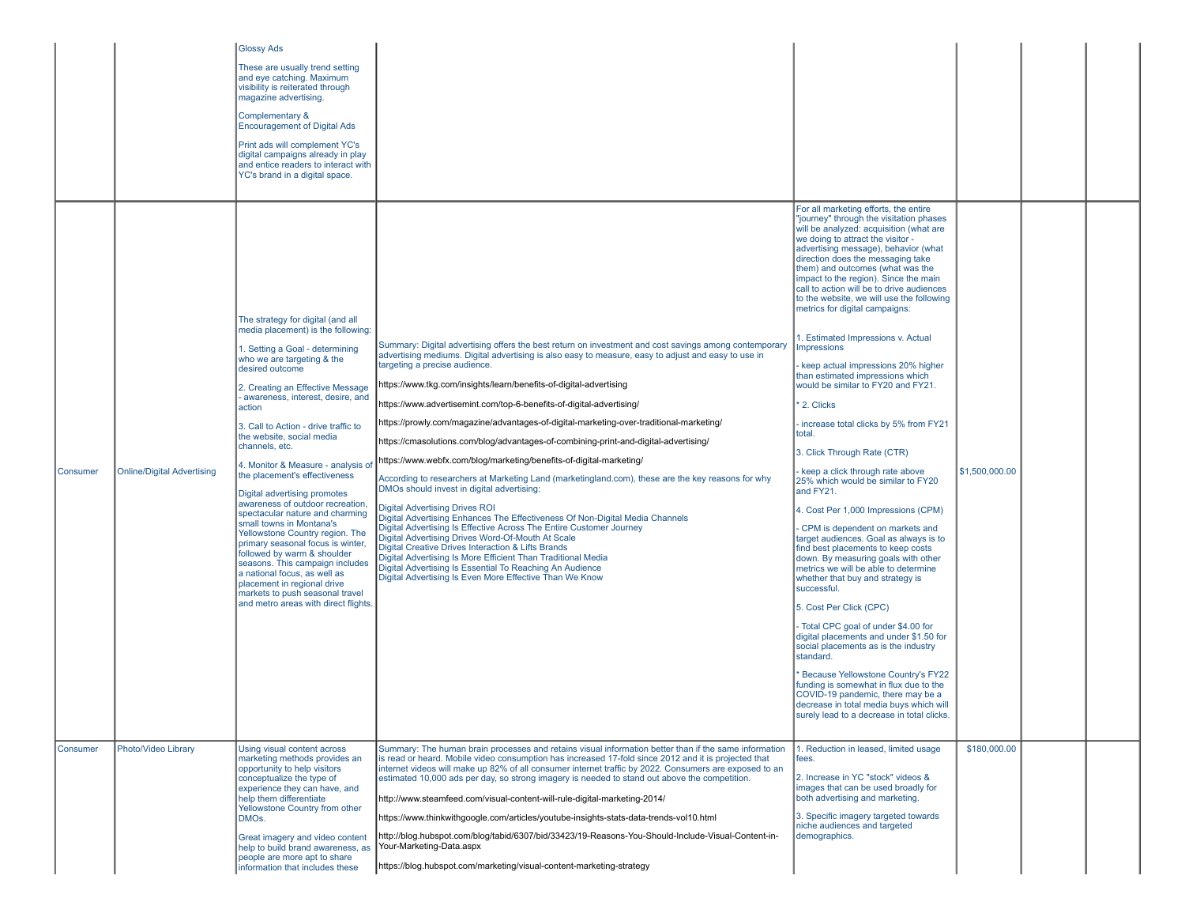|          |                                   | <b>Glossy Ads</b><br>These are usually trend setting<br>and eye catching. Maximum<br>visibility is reiterated through<br>magazine advertising.<br>Complementary &<br><b>Encouragement of Digital Ads</b><br>Print ads will complement YC's<br>digital campaigns already in play<br>and entice readers to interact with<br>YC's brand in a digital space.                                                                                                                                                                                                                                                                                                                                                                                                                                                                          |                                                                                                                                                                                                                                                                                                                                                                                                                                                                                                                                                                                                                                                                                                                                                                                                                                                                                                                                                                                                                                                                                                                                                                                                                                                                                                            |                                                                                                                                                                                                                                                                                                                                                                                                                                                                                                                                                                                                                                                                                                                                                                                                                                                                                                                                                                                                                                                                                                                                                                                                                                                                                                                                                                                                                                                                                                   |                |  |
|----------|-----------------------------------|-----------------------------------------------------------------------------------------------------------------------------------------------------------------------------------------------------------------------------------------------------------------------------------------------------------------------------------------------------------------------------------------------------------------------------------------------------------------------------------------------------------------------------------------------------------------------------------------------------------------------------------------------------------------------------------------------------------------------------------------------------------------------------------------------------------------------------------|------------------------------------------------------------------------------------------------------------------------------------------------------------------------------------------------------------------------------------------------------------------------------------------------------------------------------------------------------------------------------------------------------------------------------------------------------------------------------------------------------------------------------------------------------------------------------------------------------------------------------------------------------------------------------------------------------------------------------------------------------------------------------------------------------------------------------------------------------------------------------------------------------------------------------------------------------------------------------------------------------------------------------------------------------------------------------------------------------------------------------------------------------------------------------------------------------------------------------------------------------------------------------------------------------------|---------------------------------------------------------------------------------------------------------------------------------------------------------------------------------------------------------------------------------------------------------------------------------------------------------------------------------------------------------------------------------------------------------------------------------------------------------------------------------------------------------------------------------------------------------------------------------------------------------------------------------------------------------------------------------------------------------------------------------------------------------------------------------------------------------------------------------------------------------------------------------------------------------------------------------------------------------------------------------------------------------------------------------------------------------------------------------------------------------------------------------------------------------------------------------------------------------------------------------------------------------------------------------------------------------------------------------------------------------------------------------------------------------------------------------------------------------------------------------------------------|----------------|--|
| Consumer | <b>Online/Digital Advertising</b> | The strategy for digital (and all<br>media placement) is the following:<br>1. Setting a Goal - determining<br>who we are targeting & the<br>desired outcome<br>2. Creating an Effective Message<br>awareness, interest, desire, and<br>action<br>3. Call to Action - drive traffic to<br>the website, social media<br>channels, etc.<br>4. Monitor & Measure - analysis of<br>the placement's effectiveness<br>Digital advertising promotes<br>awareness of outdoor recreation,<br>spectacular nature and charming<br>small towns in Montana's<br>Yellowstone Country region. The<br>primary seasonal focus is winter,<br>followed by warm & shoulder<br>seasons. This campaign includes<br>a national focus, as well as<br>placement in regional drive<br>markets to push seasonal travel<br>and metro areas with direct flights | Summary: Digital advertising offers the best return on investment and cost savings among contemporary<br>advertising mediums. Digital advertising is also easy to measure, easy to adjust and easy to use in<br>targeting a precise audience.<br>https://www.tkg.com/insights/learn/benefits-of-digital-advertising<br>https://www.advertisemint.com/top-6-benefits-of-digital-advertising/<br>https://prowly.com/magazine/advantages-of-digital-marketing-over-traditional-marketing/<br>https://cmasolutions.com/blog/advantages-of-combining-print-and-digital-advertising/<br>https://www.webfx.com/blog/marketing/benefits-of-digital-marketing/<br>According to researchers at Marketing Land (marketingland.com), these are the key reasons for why<br>DMOs should invest in digital advertising:<br><b>Digital Advertising Drives ROI</b><br>Digital Advertising Enhances The Effectiveness Of Non-Digital Media Channels<br>Digital Advertising Is Effective Across The Entire Customer Journey<br>Digital Advertising Drives Word-Of-Mouth At Scale<br>Digital Creative Drives Interaction & Lifts Brands<br>Digital Advertising Is More Efficient Than Traditional Media<br>Digital Advertising Is Essential To Reaching An Audience<br>Digital Advertising Is Even More Effective Than We Know | For all marketing efforts, the entire<br>"journey" through the visitation phases<br>will be analyzed: acquisition (what are<br>we doing to attract the visitor -<br>advertising message), behavior (what<br>direction does the messaging take<br>them) and outcomes (what was the<br>impact to the region). Since the main<br>call to action will be to drive audiences<br>to the website, we will use the following<br>metrics for digital campaigns:<br>. Estimated Impressions v. Actual<br><b>Impressions</b><br>keep actual impressions 20% higher<br>than estimated impressions which<br>would be similar to FY20 and FY21.<br>2. Clicks<br>increase total clicks by 5% from FY21<br>total.<br>3. Click Through Rate (CTR)<br>keep a click through rate above<br>25% which would be similar to FY20<br>and FY21.<br>4. Cost Per 1,000 Impressions (CPM)<br>CPM is dependent on markets and<br>target audiences. Goal as always is to<br>find best placements to keep costs<br>down. By measuring goals with other<br>metrics we will be able to determine<br>whether that buy and strategy is<br>successful.<br>5. Cost Per Click (CPC)<br>Total CPC goal of under \$4.00 for<br>digital placements and under \$1.50 for<br>social placements as is the industry<br>standard.<br>Because Yellowstone Country's FY22<br>funding is somewhat in flux due to the<br>COVID-19 pandemic, there may be a<br>decrease in total media buys which will<br>surely lead to a decrease in total clicks. | \$1,500,000.00 |  |
| Consumer | Photo/Video Library               | Using visual content across<br>marketing methods provides an<br>opportunity to help visitors<br>conceptualize the type of<br>experience they can have, and<br>help them differentiate<br>Yellowstone Country from other<br>DMOs.<br>Great imagery and video content<br>help to build brand awareness, as<br>people are more apt to share<br>information that includes these                                                                                                                                                                                                                                                                                                                                                                                                                                                       | Summary: The human brain processes and retains visual information better than if the same information<br>is read or heard. Mobile video consumption has increased 17-fold since 2012 and it is projected that<br>internet videos will make up 82% of all consumer internet traffic by 2022. Consumers are exposed to an<br>estimated 10,000 ads per day, so strong imagery is needed to stand out above the competition.<br>http://www.steamfeed.com/visual-content-will-rule-digital-marketing-2014/<br>https://www.thinkwithqoogle.com/articles/youtube-insights-stats-data-trends-vol10.html<br>http://blog.hubspot.com/blog/tabid/6307/bid/33423/19-Reasons-You-Should-Include-Visual-Content-in-<br>Your-Marketing-Data.aspx<br>https://blog.hubspot.com/marketing/visual-content-marketing-strategy                                                                                                                                                                                                                                                                                                                                                                                                                                                                                                  | 1. Reduction in leased, limited usage<br>fees.<br>2. Increase in YC "stock" videos &<br>images that can be used broadly for<br>both advertising and marketing.<br>3. Specific imagery targeted towards<br>niche audiences and targeted<br>demographics.                                                                                                                                                                                                                                                                                                                                                                                                                                                                                                                                                                                                                                                                                                                                                                                                                                                                                                                                                                                                                                                                                                                                                                                                                                           | \$180,000.00   |  |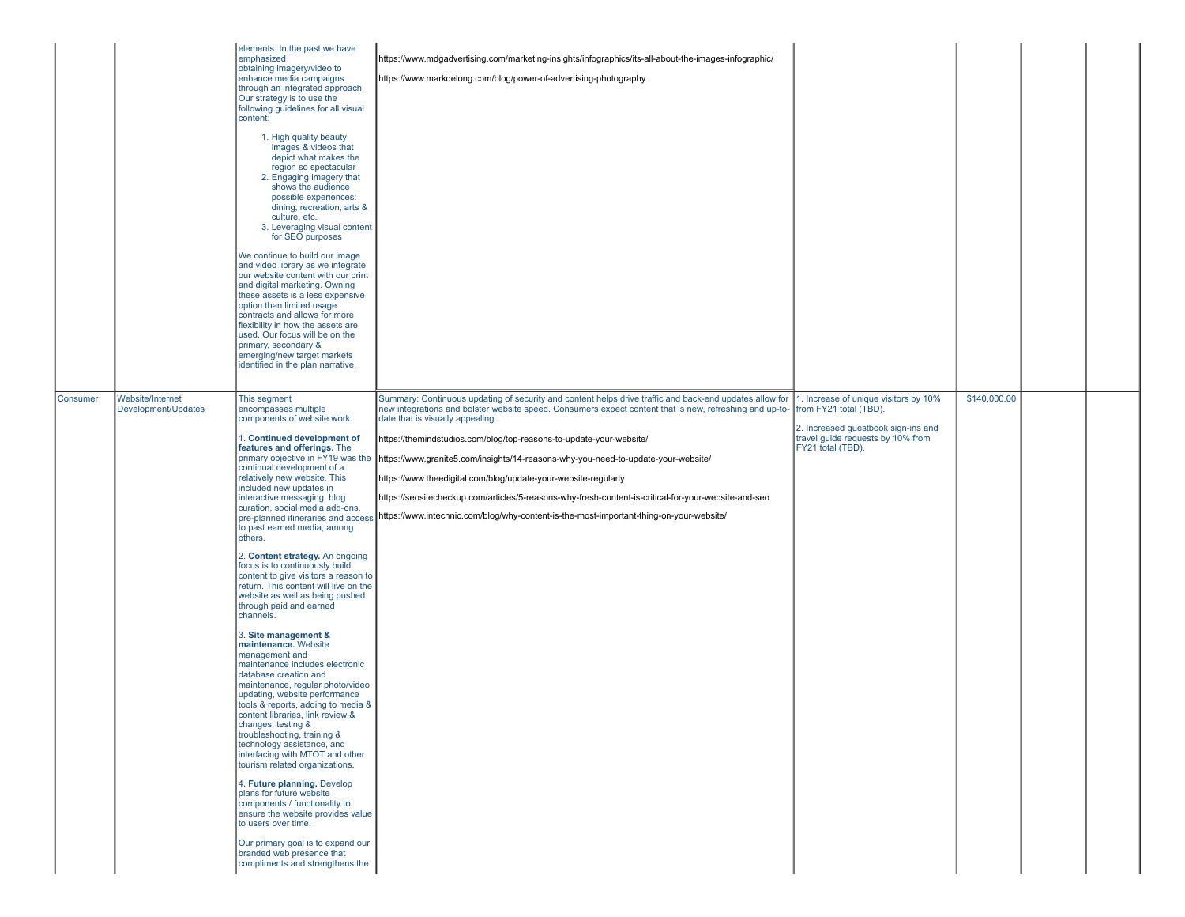|          |                                         | elements. In the past we have<br>emphasized<br>obtaining imagery/video to<br>enhance media campaigns<br>through an integrated approach.<br>Our strategy is to use the<br>following guidelines for all visual<br>content:<br>1. High quality beauty<br>images & videos that<br>depict what makes the<br>region so spectacular<br>2. Engaging imagery that<br>shows the audience<br>possible experiences:<br>dining, recreation, arts &<br>culture, etc.<br>3. Leveraging visual content<br>for SEO purposes<br>We continue to build our image<br>and video library as we integrate<br>our website content with our print<br>and digital marketing. Owning<br>these assets is a less expensive<br>option than limited usage<br>contracts and allows for more<br>flexibility in how the assets are<br>used. Our focus will be on the<br>primary, secondary &<br>emerging/new target markets<br>identified in the plan narrative.                                                                                                                                                                                                                                                                                                                                                                                                                       | https://www.mdgadvertising.com/marketing-insights/infographics/its-all-about-the-images-infographic/<br>https://www.markdelong.com/blog/power-of-advertising-photography                                                                                                                                                                                                                                                                                                                                                                                                                                                                                                                |                                                                                                                                                                  |              |  |
|----------|-----------------------------------------|-----------------------------------------------------------------------------------------------------------------------------------------------------------------------------------------------------------------------------------------------------------------------------------------------------------------------------------------------------------------------------------------------------------------------------------------------------------------------------------------------------------------------------------------------------------------------------------------------------------------------------------------------------------------------------------------------------------------------------------------------------------------------------------------------------------------------------------------------------------------------------------------------------------------------------------------------------------------------------------------------------------------------------------------------------------------------------------------------------------------------------------------------------------------------------------------------------------------------------------------------------------------------------------------------------------------------------------------------------|-----------------------------------------------------------------------------------------------------------------------------------------------------------------------------------------------------------------------------------------------------------------------------------------------------------------------------------------------------------------------------------------------------------------------------------------------------------------------------------------------------------------------------------------------------------------------------------------------------------------------------------------------------------------------------------------|------------------------------------------------------------------------------------------------------------------------------------------------------------------|--------------|--|
| Consumer | Website/Internet<br>Development/Updates | This segment<br>encompasses multiple<br>components of website work.<br>. Continued development of<br>features and offerings. The<br>primary objective in FY19 was the<br>continual development of a<br>relatively new website. This<br>included new updates in<br>interactive messaging, blog<br>curation, social media add-ons,<br>pre-planned itineraries and access<br>to past earned media, among<br>others.<br>2. Content strategy. An ongoing<br>focus is to continuously build<br>content to give visitors a reason to<br>return. This content will live on the<br>website as well as being pushed<br>through paid and earned<br>channels.<br>3. Site management &<br>maintenance. Website<br>management and<br>maintenance includes electronic<br>database creation and<br>maintenance, regular photo/video<br>updating, website performance<br>tools & reports, adding to media &<br>content libraries, link review &<br>changes, testing &<br>troubleshooting, training &<br>technology assistance, and<br>interfacing with MTOT and other<br>tourism related organizations.<br>4. Future planning. Develop<br>plans for future website<br>components / functionality to<br>ensure the website provides value<br>to users over time.<br>Our primary goal is to expand our<br>branded web presence that<br>compliments and strengthens the | Summary: Continuous updating of security and content helps drive traffic and back-end updates allow for<br>new integrations and bolster website speed. Consumers expect content that is new, refreshing and up-to-<br>date that is visually appealing.<br>https://themindstudios.com/blog/top-reasons-to-update-your-website/<br>https://www.granite5.com/insights/14-reasons-why-you-need-to-update-your-website/<br>https://www.theedigital.com/blog/update-your-website-regularly<br>https://seositecheckup.com/articles/5-reasons-why-fresh-content-is-critical-for-your-website-and-seo<br>https://www.intechnic.com/blog/why-content-is-the-most-important-thing-on-your-website/ | 1. Increase of unique visitors by 10%<br>from FY21 total (TBD).<br>2. Increased guestbook sign-ins and<br>travel guide requests by 10% from<br>FY21 total (TBD). | \$140,000.00 |  |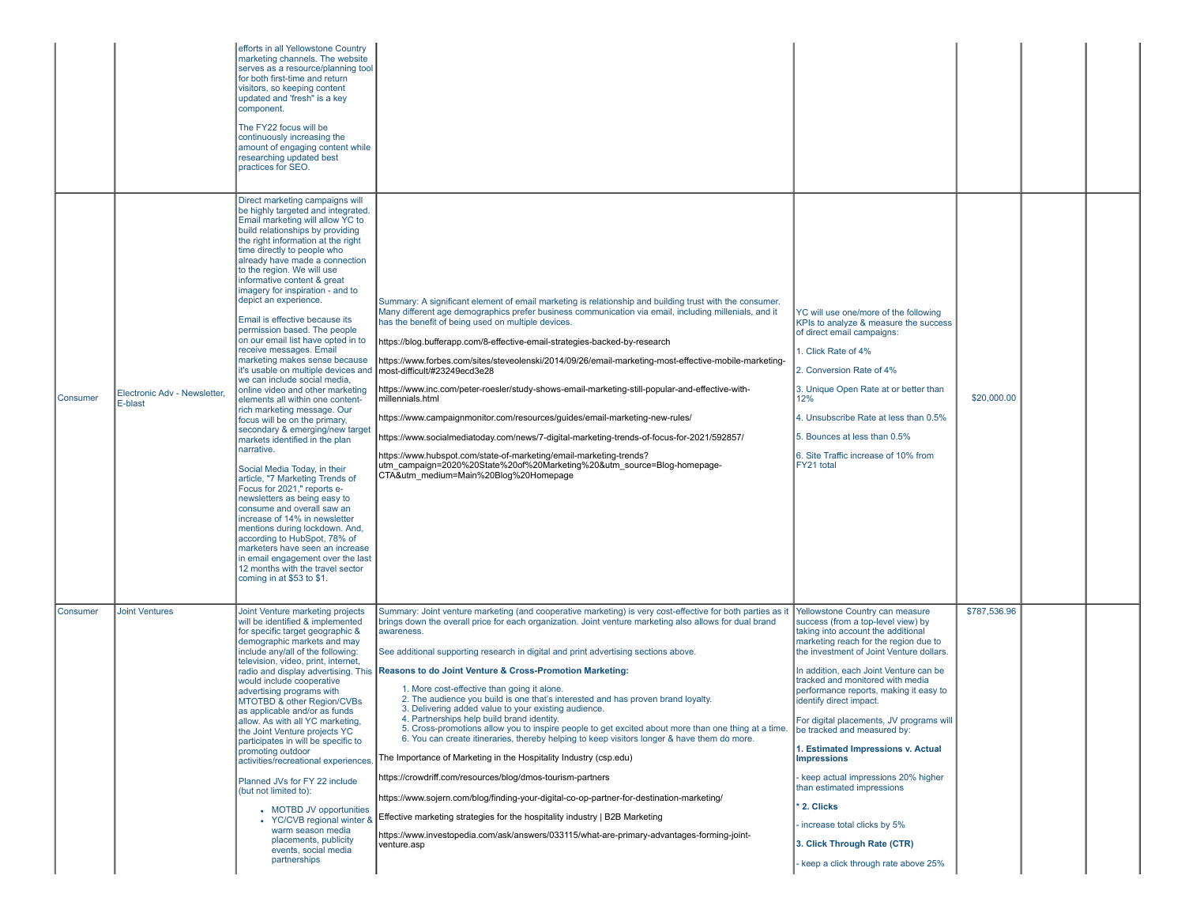|          |                                         | efforts in all Yellowstone Country<br>marketing channels. The website<br>serves as a resource/planning tool<br>for both first-time and return<br>visitors, so keeping content<br>updated and 'fresh" is a key<br>component.<br>The FY22 focus will be<br>continuously increasing the<br>amount of engaging content while<br>researching updated best<br>practices for SEO.                                                                                                                                                                                                                                                                                                                                                                                                                                                                                                                                                                                                                                                                                                                                                                                                                                                                                       |                                                                                                                                                                                                                                                                                                                                                                                                                                                                                                                                                                                                                                                                                                                                                                                                                                                                                                                                                                                                                                                                                                                                                                                                                                                                                                      |                                                                                                                                                                                                                                                                                                                                                                                                                                                                                                                                                                                                                                                                                    |              |  |
|----------|-----------------------------------------|------------------------------------------------------------------------------------------------------------------------------------------------------------------------------------------------------------------------------------------------------------------------------------------------------------------------------------------------------------------------------------------------------------------------------------------------------------------------------------------------------------------------------------------------------------------------------------------------------------------------------------------------------------------------------------------------------------------------------------------------------------------------------------------------------------------------------------------------------------------------------------------------------------------------------------------------------------------------------------------------------------------------------------------------------------------------------------------------------------------------------------------------------------------------------------------------------------------------------------------------------------------|------------------------------------------------------------------------------------------------------------------------------------------------------------------------------------------------------------------------------------------------------------------------------------------------------------------------------------------------------------------------------------------------------------------------------------------------------------------------------------------------------------------------------------------------------------------------------------------------------------------------------------------------------------------------------------------------------------------------------------------------------------------------------------------------------------------------------------------------------------------------------------------------------------------------------------------------------------------------------------------------------------------------------------------------------------------------------------------------------------------------------------------------------------------------------------------------------------------------------------------------------------------------------------------------------|------------------------------------------------------------------------------------------------------------------------------------------------------------------------------------------------------------------------------------------------------------------------------------------------------------------------------------------------------------------------------------------------------------------------------------------------------------------------------------------------------------------------------------------------------------------------------------------------------------------------------------------------------------------------------------|--------------|--|
| Consumer | Electronic Adv - Newsletter,<br>E-blast | Direct marketing campaigns will<br>be highly targeted and integrated.<br>Email marketing will allow YC to<br>build relationships by providing<br>the right information at the right<br>time directly to people who<br>already have made a connection<br>to the region. We will use<br>informative content & great<br>imagery for inspiration - and to<br>depict an experience.<br>Email is effective because its<br>permission based. The people<br>on our email list have opted in to<br>receive messages. Email<br>marketing makes sense because<br>it's usable on multiple devices and<br>we can include social media,<br>online video and other marketing<br>elements all within one content-<br>rich marketing message. Our<br>focus will be on the primary,<br>secondary & emerging/new target<br>markets identified in the plan<br>narrative.<br>Social Media Today, in their<br>article, "7 Marketing Trends of<br>Focus for 2021," reports e-<br>newsletters as being easy to<br>consume and overall saw an<br>increase of 14% in newsletter<br>mentions during lockdown. And,<br>according to HubSpot, 78% of<br>marketers have seen an increase<br>in email engagement over the last<br>12 months with the travel sector<br>coming in at \$53 to \$1. | Summary: A significant element of email marketing is relationship and building trust with the consumer.<br>Many different age demographics prefer business communication via email, including millenials, and it<br>has the benefit of being used on multiple devices.<br>https://blog.bufferapp.com/8-effective-email-strategies-backed-by-research<br>https://www.forbes.com/sites/steveolenski/2014/09/26/email-marketing-most-effective-mobile-marketing-<br>most-difficult/#23249ecd3e28<br>https://www.inc.com/peter-roesler/study-shows-email-marketing-still-popular-and-effective-with-<br>millennials.html<br>https://www.campaignmonitor.com/resources/guides/email-marketing-new-rules/<br>https://www.socialmediatoday.com/news/7-digital-marketing-trends-of-focus-for-2021/592857/<br>https://www.hubspot.com/state-of-marketing/email-marketing-trends?<br>utm_campaign=2020%20State%20of%20Marketing%20&utm_source=Blog-homepage-<br>CTA&utm_medium=Main%20Blog%20Homepage                                                                                                                                                                                                                                                                                                          | YC will use one/more of the following<br>KPIs to analyze & measure the success<br>of direct email campaigns:<br>1. Click Rate of 4%<br>2. Conversion Rate of 4%<br>3. Unique Open Rate at or better than<br>12%<br>4. Unsubscribe Rate at less than 0.5%<br>5. Bounces at less than 0.5%<br>6. Site Traffic increase of 10% from<br>FY21 total                                                                                                                                                                                                                                                                                                                                     | \$20,000.00  |  |
| Consumer | <b>Joint Ventures</b>                   | Joint Venture marketing projects<br>will be identified & implemented<br>for specific target geographic &<br>demographic markets and may<br>include any/all of the following:<br>television, video, print, internet,<br>would include cooperative<br>advertising programs with<br>MTOTBD & other Region/CVBs<br>as applicable and/or as funds<br>allow. As with all YC marketing,<br>the Joint Venture projects YC<br>participates in will be specific to<br>promoting outdoor<br>activities/recreational experiences.<br>Planned JVs for FY 22 include<br>(but not limited to):<br>• MOTBD JV opportunities<br>• YC/CVB regional winter &<br>warm season media<br>placements, publicity<br>events, social media<br>partnerships                                                                                                                                                                                                                                                                                                                                                                                                                                                                                                                                  | Summary: Joint venture marketing (and cooperative marketing) is very cost-effective for both parties as i<br>brings down the overall price for each organization. Joint venture marketing also allows for dual brand<br>awareness.<br>See additional supporting research in digital and print advertising sections above.<br>radio and display advertising. This Reasons to do Joint Venture & Cross-Promotion Marketing:<br>1. More cost-effective than going it alone.<br>2. The audience you build is one that's interested and has proven brand loyalty.<br>3. Delivering added value to your existing audience.<br>4. Partnerships help build brand identity.<br>5. Cross-promotions allow you to inspire people to get excited about more than one thing at a time.<br>6. You can create itineraries, thereby helping to keep visitors longer & have them do more.<br>The Importance of Marketing in the Hospitality Industry (csp.edu)<br>https://crowdriff.com/resources/blog/dmos-tourism-partners<br>https://www.sojern.com/blog/finding-your-digital-co-op-partner-for-destination-marketing/<br>Effective marketing strategies for the hospitality industry   B2B Marketing<br>https://www.investopedia.com/ask/answers/033115/what-are-primary-advantages-forming-joint-<br>venture.asp | Yellowstone Country can measure<br>success (from a top-level view) by<br>taking into account the additional<br>marketing reach for the region due to<br>the investment of Joint Venture dollars.<br>In addition, each Joint Venture can be<br>tracked and monitored with media<br>performance reports, making it easy to<br>identify direct impact.<br>For digital placements, JV programs will<br>be tracked and measured by:<br>1. Estimated Impressions v. Actual<br><b>Impressions</b><br>keep actual impressions 20% higher<br>than estimated impressions<br>2. Clicks<br>- increase total clicks by 5%<br>3. Click Through Rate (CTR)<br>keep a click through rate above 25% | \$787,536.96 |  |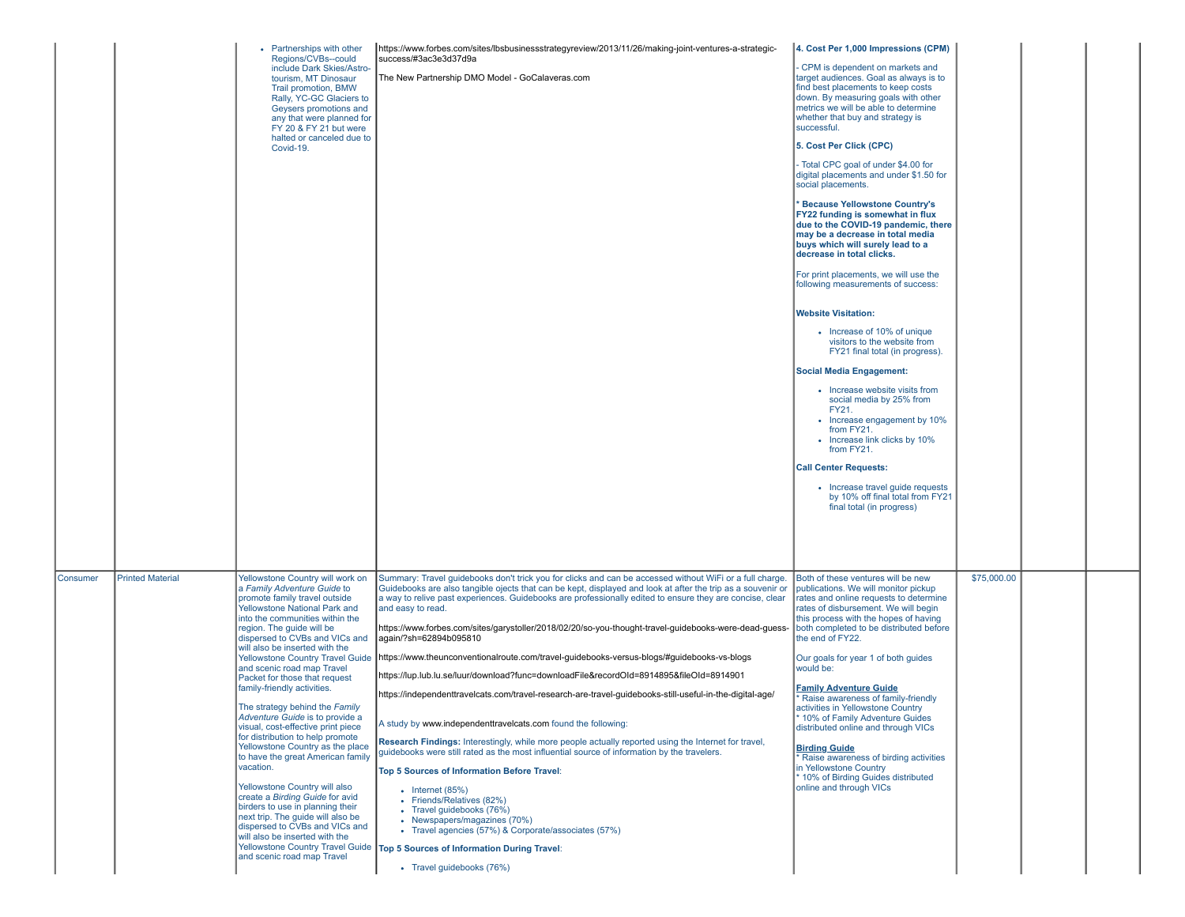|          |                         | • Partnerships with other<br>Regions/CVBs--could<br>include Dark Skies/Astro-<br>tourism, MT Dinosaur<br>Trail promotion, BMW<br>Rally, YC-GC Glaciers to<br>Geysers promotions and<br>any that were planned for<br>FY 20 & FY 21 but were<br>halted or canceled due to<br>Covid-19.                                                                                                                                                                                                                                                                                                                                                                                                                                                                                                                                                                                                                      | https://www.forbes.com/sites/lbsbusinessstrategyreview/2013/11/26/making-joint-ventures-a-strategic-<br>success/#3ac3e3d37d9a<br>The New Partnership DMO Model - GoCalaveras.com                                                                                                                                                                                                                                                                                                                                                                                                                                                                                                                                                                                                                                                                                                                                                                                                                                                                                                                                                                                                                                                                                                                                                                                                                                     | 4. Cost Per 1,000 Impressions (CPM)<br>CPM is dependent on markets and<br>target audiences. Goal as always is to<br>find best placements to keep costs<br>down. By measuring goals with other<br>metrics we will be able to determine<br>whether that buy and strategy is<br>successful.<br>5. Cost Per Click (CPC)<br>- Total CPC goal of under \$4.00 for<br>digital placements and under \$1.50 for<br>social placements.<br><b>Because Yellowstone Country's</b><br>FY22 funding is somewhat in flux<br>due to the COVID-19 pandemic, there<br>may be a decrease in total media<br>buys which will surely lead to a<br>decrease in total clicks.<br>For print placements, we will use the<br>following measurements of success:<br><b>Website Visitation:</b><br>• Increase of 10% of unique<br>visitors to the website from<br>FY21 final total (in progress).<br><b>Social Media Engagement:</b><br>• Increase website visits from<br>social media by 25% from<br>FY21.<br>• Increase engagement by 10%<br>from FY21.<br>• Increase link clicks by 10%<br>from FY21.<br><b>Call Center Requests:</b><br>• Increase travel guide requests<br>by 10% off final total from FY21<br>final total (in progress) |             |  |
|----------|-------------------------|-----------------------------------------------------------------------------------------------------------------------------------------------------------------------------------------------------------------------------------------------------------------------------------------------------------------------------------------------------------------------------------------------------------------------------------------------------------------------------------------------------------------------------------------------------------------------------------------------------------------------------------------------------------------------------------------------------------------------------------------------------------------------------------------------------------------------------------------------------------------------------------------------------------|----------------------------------------------------------------------------------------------------------------------------------------------------------------------------------------------------------------------------------------------------------------------------------------------------------------------------------------------------------------------------------------------------------------------------------------------------------------------------------------------------------------------------------------------------------------------------------------------------------------------------------------------------------------------------------------------------------------------------------------------------------------------------------------------------------------------------------------------------------------------------------------------------------------------------------------------------------------------------------------------------------------------------------------------------------------------------------------------------------------------------------------------------------------------------------------------------------------------------------------------------------------------------------------------------------------------------------------------------------------------------------------------------------------------|-----------------------------------------------------------------------------------------------------------------------------------------------------------------------------------------------------------------------------------------------------------------------------------------------------------------------------------------------------------------------------------------------------------------------------------------------------------------------------------------------------------------------------------------------------------------------------------------------------------------------------------------------------------------------------------------------------------------------------------------------------------------------------------------------------------------------------------------------------------------------------------------------------------------------------------------------------------------------------------------------------------------------------------------------------------------------------------------------------------------------------------------------------------------------------------------------------------------|-------------|--|
| Consumer | <b>Printed Material</b> | Yellowstone Country will work on<br>a Family Adventure Guide to<br>promote family travel outside<br><b>Yellowstone National Park and</b><br>into the communities within the<br>region. The guide will be<br>dispersed to CVBs and VICs and<br>will also be inserted with the<br><b>Yellowstone Country Travel Guide</b><br>and scenic road map Travel<br>Packet for those that request<br>family-friendly activities.<br>The strategy behind the Family<br>Adventure Guide is to provide a<br>visual, cost-effective print piece<br>for distribution to help promote<br>Yellowstone Country as the place<br>to have the great American family<br>vacation.<br>Yellowstone Country will also<br>create a Birding Guide for avid<br>birders to use in planning their<br>next trip. The guide will also be<br>dispersed to CVBs and VICs and<br>will also be inserted with the<br>and scenic road map Travel | Summary: Travel guidebooks don't trick you for clicks and can be accessed without WiFi or a full charge.<br>Guidebooks are also tangible ojects that can be kept, displayed and look at after the trip as a souvenir or<br>a way to relive past experiences. Guidebooks are professionally edited to ensure they are concise, clear<br>and easy to read.<br>https://www.forbes.com/sites/garystoller/2018/02/20/so-you-thought-travel-guidebooks-were-dead-guess-<br>again/?sh=62894b095810<br>https://www.theunconventionalroute.com/travel-guidebooks-versus-blogs/#guidebooks-vs-blogs<br>https://lup.lub.lu.se/luur/download?func=downloadFile&recordOld=8914895&fileOld=8914901<br>/https://independenttravelcats.com/travel-research-are-travel-guidebooks-still-useful-in-the-digital-age<br>A study by www.independenttravelcats.com found the following:<br>Research Findings: Interestingly, while more people actually reported using the Internet for travel,<br>quidebooks were still rated as the most influential source of information by the travelers.<br>Top 5 Sources of Information Before Travel:<br>$\bullet$ Internet (85%)<br>• Friends/Relatives (82%)<br>• Travel guidebooks (76%)<br>• Newspapers/magazines (70%)<br>• Travel agencies (57%) & Corporate/associates (57%)<br>Yellowstone Country Travel Guide   Top 5 Sources of Information During Travel:<br>• Travel guidebooks (76%) | Both of these ventures will be new<br>publications. We will monitor pickup<br>rates and online requests to determine<br>rates of disbursement. We will begin<br>this process with the hopes of having<br>both completed to be distributed before<br>the end of FY22.<br>Our goals for year 1 of both guides<br>would be:<br><b>Family Adventure Guide</b><br>* Raise awareness of family-friendly<br>activities in Yellowstone Country<br>10% of Family Adventure Guides<br>distributed online and through VICs<br><b>Birding Guide</b><br>Raise awareness of birding activities<br>in Yellowstone Country<br>* 10% of Birding Guides distributed<br>online and through VICs                                                                                                                                                                                                                                                                                                                                                                                                                                                                                                                                    | \$75,000.00 |  |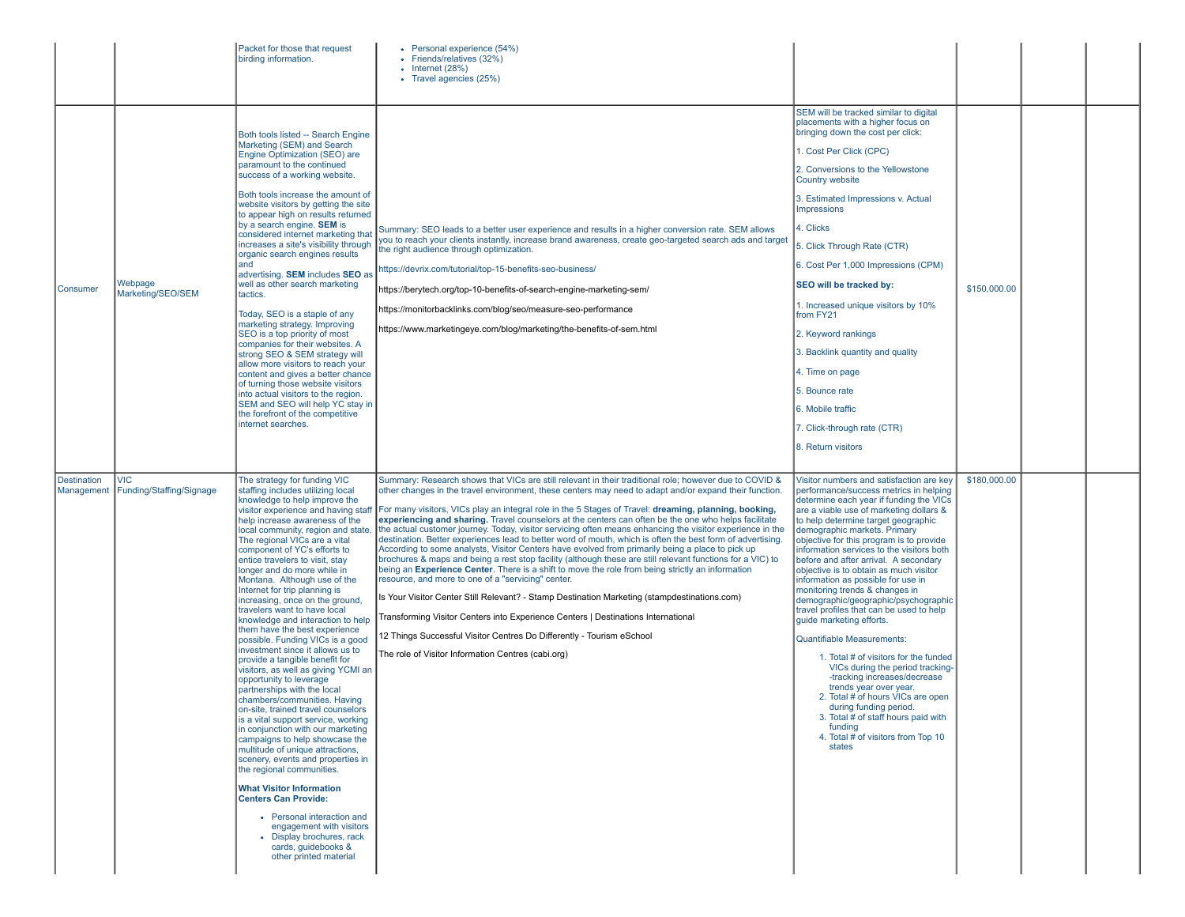|                                  |                                        | Packet for those that request<br>birding information.                                                                                                                                                                                                                                                                                                                                                                                                                                                                                                                                                                                                                                                                                                                                                                                                                                                                                                                                                                                                                                                                                                                                                                                                                      | • Personal experience (54%)<br>• Friends/relatives (32%)<br>$\cdot$ Internet (28%)<br>• Travel agencies (25%)                                                                                                                                                                                                                                                                                                                                                                                                                                                                                                                                                                                                                                                                                                                                                                                                                                                                                                                                                                                                                                                                                                                                                                                                                                                |                                                                                                                                                                                                                                                                                                                                                                                                                                                                                                                                                                                                                                                                                                                                                                                                                                                                                                                                                                  |              |  |
|----------------------------------|----------------------------------------|----------------------------------------------------------------------------------------------------------------------------------------------------------------------------------------------------------------------------------------------------------------------------------------------------------------------------------------------------------------------------------------------------------------------------------------------------------------------------------------------------------------------------------------------------------------------------------------------------------------------------------------------------------------------------------------------------------------------------------------------------------------------------------------------------------------------------------------------------------------------------------------------------------------------------------------------------------------------------------------------------------------------------------------------------------------------------------------------------------------------------------------------------------------------------------------------------------------------------------------------------------------------------|--------------------------------------------------------------------------------------------------------------------------------------------------------------------------------------------------------------------------------------------------------------------------------------------------------------------------------------------------------------------------------------------------------------------------------------------------------------------------------------------------------------------------------------------------------------------------------------------------------------------------------------------------------------------------------------------------------------------------------------------------------------------------------------------------------------------------------------------------------------------------------------------------------------------------------------------------------------------------------------------------------------------------------------------------------------------------------------------------------------------------------------------------------------------------------------------------------------------------------------------------------------------------------------------------------------------------------------------------------------|------------------------------------------------------------------------------------------------------------------------------------------------------------------------------------------------------------------------------------------------------------------------------------------------------------------------------------------------------------------------------------------------------------------------------------------------------------------------------------------------------------------------------------------------------------------------------------------------------------------------------------------------------------------------------------------------------------------------------------------------------------------------------------------------------------------------------------------------------------------------------------------------------------------------------------------------------------------|--------------|--|
| Consumer                         | Webpage<br>Marketing/SEO/SEM           | Both tools listed -- Search Engine<br>Marketing (SEM) and Search<br>Engine Optimization (SEO) are<br>paramount to the continued<br>success of a working website.<br>Both tools increase the amount of<br>website visitors by getting the site<br>to appear high on results returned<br>by a search engine. <b>SEM</b> is<br>considered internet marketing that<br>increases a site's visibility through<br>organic search engines results<br>land<br>advertising. SEM includes SEO as<br>well as other search marketing<br>tactics.<br>Today, SEO is a staple of any<br>marketing strategy. Improving<br>SEO is a top priority of most<br>companies for their websites. A<br>strong SEO & SEM strategy will<br>allow more visitors to reach your<br>content and gives a better chance<br>of turning those website visitors<br>into actual visitors to the region.<br>SEM and SEO will help YC stay in<br>the forefront of the competitive<br>internet searches.                                                                                                                                                                                                                                                                                                            | Summary: SEO leads to a better user experience and results in a higher conversion rate. SEM allows<br>you to reach your clients instantly, increase brand awareness, create geo-targeted search ads and target<br>the right audience through optimization.<br>https://devrix.com/tutorial/top-15-benefits-seo-business/<br>https://berytech.org/top-10-benefits-of-search-engine-marketing-sem/<br>https://monitorbacklinks.com/blog/seo/measure-seo-performance<br>https://www.marketingeye.com/blog/marketing/the-benefits-of-sem.html                                                                                                                                                                                                                                                                                                                                                                                                                                                                                                                                                                                                                                                                                                                                                                                                                     | SEM will be tracked similar to digital<br>placements with a higher focus on<br>bringing down the cost per click:<br>1. Cost Per Click (CPC)<br>2. Conversions to the Yellowstone<br>Country website<br>3. Estimated Impressions v. Actual<br><b>Impressions</b><br>4. Clicks<br>5. Click Through Rate (CTR)<br>6. Cost Per 1,000 Impressions (CPM)<br>SEO will be tracked by:<br>1. Increased unique visitors by 10%<br>from FY21<br>2. Keyword rankings<br>3. Backlink quantity and quality<br>4. Time on page<br>5. Bounce rate<br>6. Mobile traffic<br>7. Click-through rate (CTR)<br>8. Return visitors                                                                                                                                                                                                                                                                                                                                                      | \$150,000.00 |  |
| <b>Destination</b><br>Management | <b>VIC</b><br>Funding/Staffing/Signage | The strategy for funding VIC<br>staffing includes utilizing local<br>knowledge to help improve the<br>visitor experience and having staff<br>help increase awareness of the<br>local community, region and state<br>The regional VICs are a vital<br>component of YC's efforts to<br>entice travelers to visit, stay<br>longer and do more while in<br>Montana. Although use of the<br>Internet for trip planning is<br>increasing, once on the ground,<br>travelers want to have local<br>knowledge and interaction to help<br>them have the best experience<br>possible. Funding VICs is a good<br>investment since it allows us to<br>provide a tangible benefit for<br>visitors, as well as giving YCMI an<br>opportunity to leverage<br>partnerships with the local<br>chambers/communities. Having<br>on-site, trained travel counselors<br>is a vital support service, working<br>in conjunction with our marketing<br>campaigns to help showcase the<br>multitude of unique attractions,<br>scenery, events and properties in<br>the regional communities.<br><b>What Visitor Information</b><br><b>Centers Can Provide:</b><br>• Personal interaction and<br>engagement with visitors<br>Display brochures, rack<br>cards, guidebooks &<br>other printed material | Summary: Research shows that VICs are still relevant in their traditional role; however due to COVID &<br>other changes in the travel environment, these centers may need to adapt and/or expand their function.<br>For many visitors, VICs play an integral role in the 5 Stages of Travel: dreaming, planning, booking,<br>experiencing and sharing. Travel counselors at the centers can often be the one who helps facilitate<br>the actual customer journey. Today, visitor servicing often means enhancing the visitor experience in the<br>destination. Better experiences lead to better word of mouth, which is often the best form of advertising.<br>According to some analysts, Visitor Centers have evolved from primarily being a place to pick up<br>brochures & maps and being a rest stop facility (although these are still relevant functions for a VIC) to<br>being an Experience Center. There is a shift to move the role from being strictly an information<br>resource, and more to one of a "servicing" center.<br>Is Your Visitor Center Still Relevant? - Stamp Destination Marketing (stampdestinations.com)<br>Transforming Visitor Centers into Experience Centers   Destinations International<br>12 Things Successful Visitor Centres Do Differently - Tourism eSchool<br>The role of Visitor Information Centres (cabi.org) | Visitor numbers and satisfaction are key<br>performance/success metrics in helping<br>determine each year if funding the VICs<br>are a viable use of marketing dollars &<br>to help determine target geographic<br>demographic markets. Primary<br>objective for this program is to provide<br>information services to the visitors both<br>before and after arrival. A secondary<br>objective is to obtain as much visitor<br>information as possible for use in<br>monitoring trends & changes in<br>demographic/geographic/psychographic<br>travel profiles that can be used to help<br>quide marketing efforts.<br><b>Quantifiable Measurements:</b><br>1. Total # of visitors for the funded<br>VICs during the period tracking-<br>-tracking increases/decrease<br>trends vear over year.<br>2. Total # of hours VICs are open<br>during funding period.<br>3. Total # of staff hours paid with<br>funding<br>4. Total # of visitors from Top 10<br>states | \$180,000.00 |  |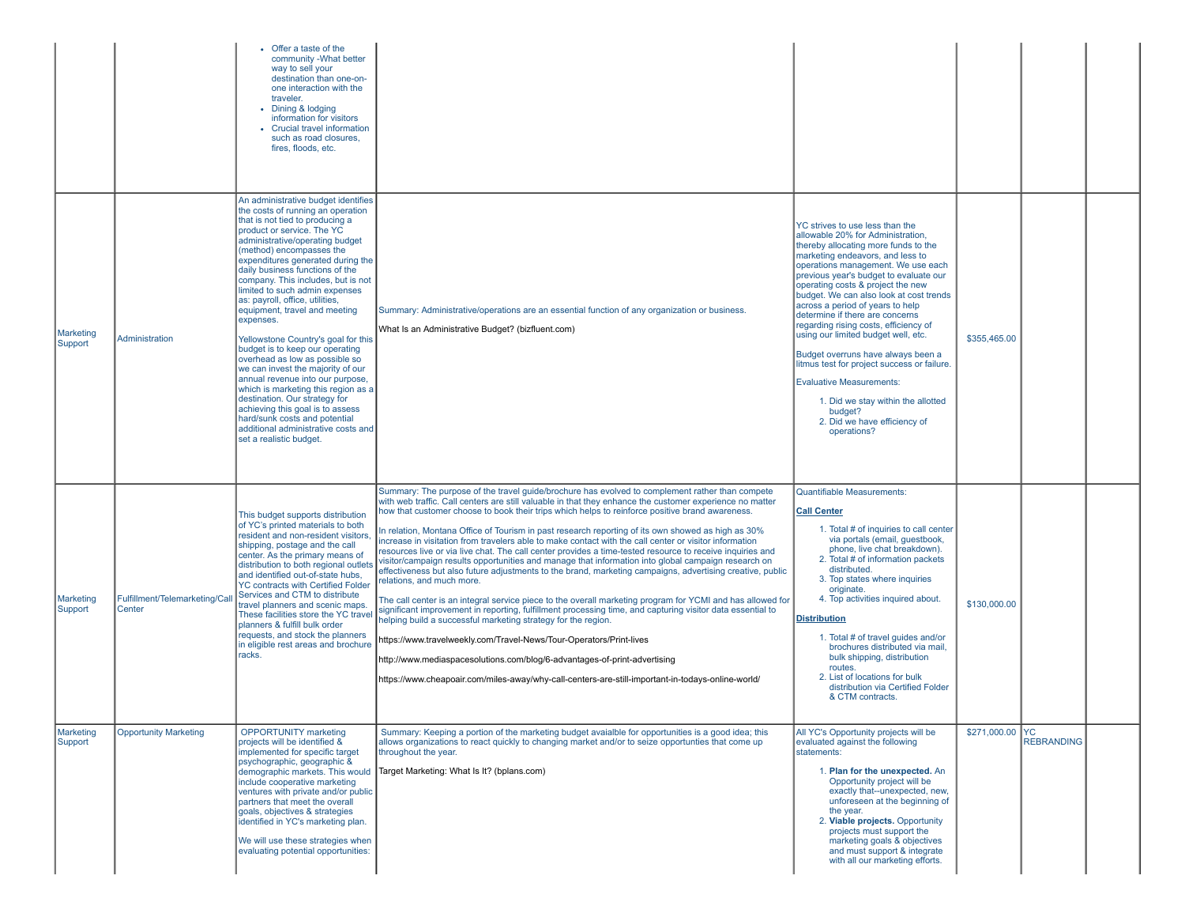|                      |                                        | Offer a taste of the<br>community - What better<br>way to sell your<br>destination than one-on-<br>one interaction with the<br>traveler.<br>Dining & lodging<br>information for visitors<br>• Crucial travel information<br>such as road closures.<br>fires, floods, etc.                                                                                                                                                                                                                                                                                                                                                                                                                                                                                                                                                                     |                                                                                                                                                                                                                                                                                                                                                                                                                                                                                                                                                                                                                                                                                                                                                                                                                                                                                                                                                                                                                                                                                                                                                                                                                                                                                                                                                                                                                                                    |                                                                                                                                                                                                                                                                                                                                                                                                                                                                                                                                                                                                                                                                                                 |                 |                   |  |
|----------------------|----------------------------------------|-----------------------------------------------------------------------------------------------------------------------------------------------------------------------------------------------------------------------------------------------------------------------------------------------------------------------------------------------------------------------------------------------------------------------------------------------------------------------------------------------------------------------------------------------------------------------------------------------------------------------------------------------------------------------------------------------------------------------------------------------------------------------------------------------------------------------------------------------|----------------------------------------------------------------------------------------------------------------------------------------------------------------------------------------------------------------------------------------------------------------------------------------------------------------------------------------------------------------------------------------------------------------------------------------------------------------------------------------------------------------------------------------------------------------------------------------------------------------------------------------------------------------------------------------------------------------------------------------------------------------------------------------------------------------------------------------------------------------------------------------------------------------------------------------------------------------------------------------------------------------------------------------------------------------------------------------------------------------------------------------------------------------------------------------------------------------------------------------------------------------------------------------------------------------------------------------------------------------------------------------------------------------------------------------------------|-------------------------------------------------------------------------------------------------------------------------------------------------------------------------------------------------------------------------------------------------------------------------------------------------------------------------------------------------------------------------------------------------------------------------------------------------------------------------------------------------------------------------------------------------------------------------------------------------------------------------------------------------------------------------------------------------|-----------------|-------------------|--|
| Marketing<br>Support | Administration                         | An administrative budget identifies<br>the costs of running an operation<br>that is not tied to producing a<br>product or service. The YC<br>administrative/operating budget<br>(method) encompasses the<br>expenditures generated during the<br>daily business functions of the<br>company. This includes, but is not<br>limited to such admin expenses<br>as: payroll, office, utilities,<br>equipment, travel and meeting<br>expenses.<br>Yellowstone Country's goal for this<br>budget is to keep our operating<br>overhead as low as possible so<br>we can invest the maiority of our<br>annual revenue into our purpose,<br>which is marketing this region as a<br>destination. Our strategy for<br>achieving this goal is to assess<br>hard/sunk costs and potential<br>additional administrative costs and<br>set a realistic budget. | Summary: Administrative/operations are an essential function of any organization or business.<br>What Is an Administrative Budget? (bizfluent.com)                                                                                                                                                                                                                                                                                                                                                                                                                                                                                                                                                                                                                                                                                                                                                                                                                                                                                                                                                                                                                                                                                                                                                                                                                                                                                                 | YC strives to use less than the<br>allowable 20% for Administration,<br>thereby allocating more funds to the<br>marketing endeavors, and less to<br>operations management. We use each<br>previous year's budget to evaluate our<br>operating costs & project the new<br>budget. We can also look at cost trends<br>across a period of years to help<br>determine if there are concerns<br>regarding rising costs, efficiency of<br>using our limited budget well, etc.<br>Budget overruns have always been a<br>litmus test for project success or failure.<br><b>Evaluative Measurements:</b><br>1. Did we stay within the allotted<br>budget?<br>2. Did we have efficiency of<br>operations? | \$355,465.00    |                   |  |
| Marketing<br>Support | Fulfillment/Telemarketing/Ca<br>Center | This budget supports distribution<br>of YC's printed materials to both<br>resident and non-resident visitors,<br>shipping, postage and the call<br>center. As the primary means of<br>distribution to both regional outlets<br>and identified out-of-state hubs,<br><b>YC contracts with Certified Folder</b><br>Services and CTM to distribute<br>travel planners and scenic maps.<br>These facilities store the YC travel<br>planners & fulfill bulk order<br>requests, and stock the planners<br>in eligible rest areas and brochure<br>racks.                                                                                                                                                                                                                                                                                             | Summary: The purpose of the travel guide/brochure has evolved to complement rather than compete<br>with web traffic. Call centers are still valuable in that they enhance the customer experience no matter<br>how that customer choose to book their trips which helps to reinforce positive brand awareness.<br>In relation, Montana Office of Tourism in past research reporting of its own showed as high as 30%<br>increase in visitation from travelers able to make contact with the call center or visitor information<br>resources live or via live chat. The call center provides a time-tested resource to receive inquiries and<br>visitor/campaign results opportunities and manage that information into global campaign research on<br>effectiveness but also future adjustments to the brand, marketing campaigns, advertising creative, public<br>relations, and much more.<br>The call center is an integral service piece to the overall marketing program for YCMI and has allowed for<br>significant improvement in reporting, fulfillment processing time, and capturing visitor data essential to<br>helping build a successful marketing strategy for the region.<br>https://www.travelweekly.com/Travel-News/Tour-Operators/Print-lives<br>http://www.mediaspacesolutions.com/blog/6-advantages-of-print-advertising<br>/https://www.cheapoair.com/miles-away/why-call-centers-are-still-important-in-todays-online-world | Quantifiable Measurements:<br><b>Call Center</b><br>1. Total # of inquiries to call center<br>via portals (email, guestbook,<br>phone, live chat breakdown).<br>2. Total # of information packets<br>distributed.<br>3. Top states where inquiries<br>originate.<br>4. Top activities inquired about.<br><b>Distribution</b><br>1. Total # of travel guides and/or<br>brochures distributed via mail.<br>bulk shipping, distribution<br>routes.<br>2. List of locations for bulk<br>distribution via Certified Folder<br>& CTM contracts.                                                                                                                                                       | \$130,000.00    |                   |  |
| Marketing<br>Support | <b>Opportunity Marketing</b>           | <b>OPPORTUNITY</b> marketing<br>projects will be identified &<br>implemented for specific target<br>psychographic, geographic &<br>demographic markets. This would<br>include cooperative marketing<br>ventures with private and/or public<br>partners that meet the overall<br>goals, objectives & strategies<br>identified in YC's marketing plan.<br>We will use these strategies when<br>evaluating potential opportunities:                                                                                                                                                                                                                                                                                                                                                                                                              | Summary: Keeping a portion of the marketing budget avaialble for opportunities is a good idea; this<br>allows organizations to react quickly to changing market and/or to seize opportunties that come up<br>throughout the year.<br>Target Marketing: What Is It? (bplans.com)                                                                                                                                                                                                                                                                                                                                                                                                                                                                                                                                                                                                                                                                                                                                                                                                                                                                                                                                                                                                                                                                                                                                                                    | All YC's Opportunity projects will be<br>evaluated against the following<br>statements:<br>1. Plan for the unexpected. An<br>Opportunity project will be<br>exactly that--unexpected, new,<br>unforeseen at the beginning of<br>the year.<br>2. Viable projects. Opportunity<br>projects must support the<br>marketing goals & objectives<br>and must support & integrate<br>with all our marketing efforts.                                                                                                                                                                                                                                                                                    | \$271,000.00 YC | <b>REBRANDING</b> |  |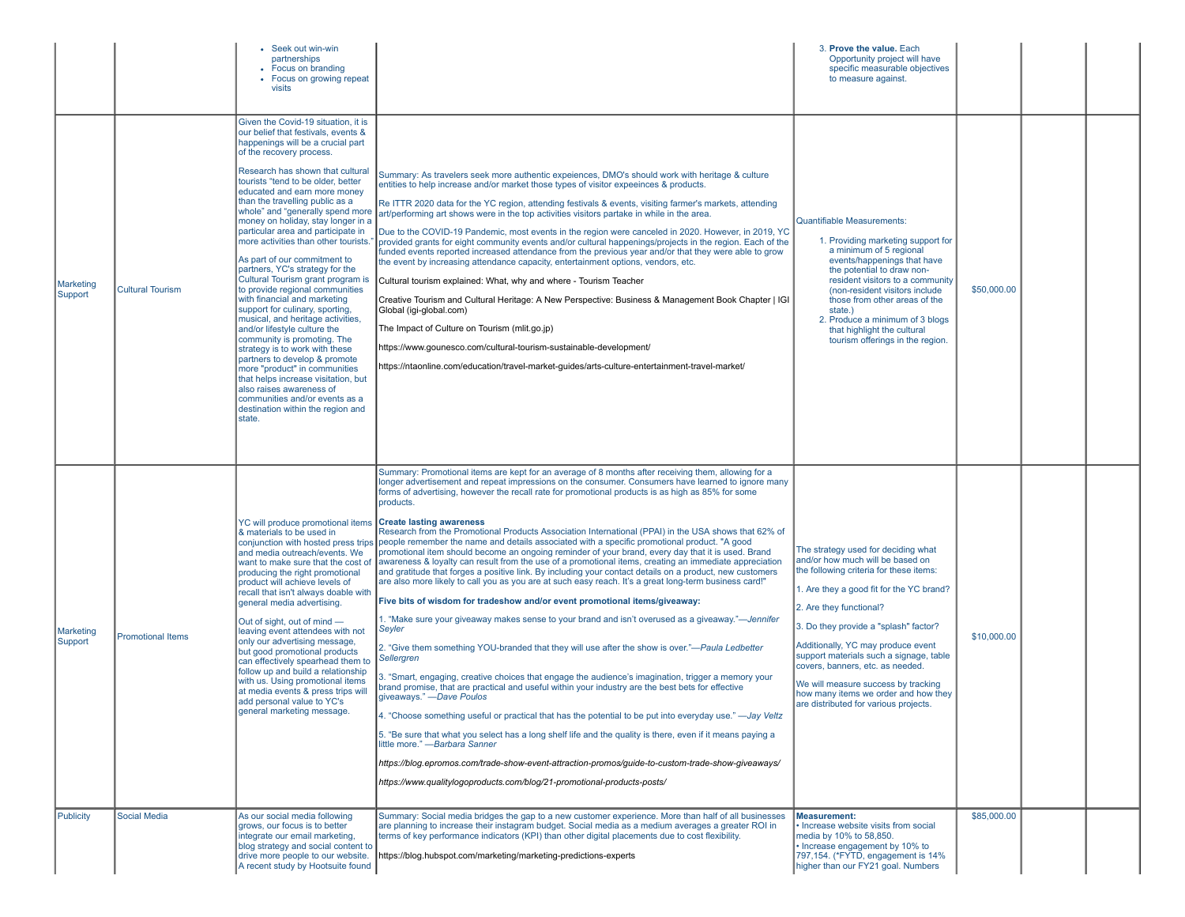|                      |                          | • Seek out win-win<br>partnerships<br>• Focus on branding<br>• Focus on growing repeat<br>visits                                                                                                                                                                                                                                                                                                                                                                                                                                                                                                                                                                                                                                                                                                                                                                                                                                                                                                                           |                                                                                                                                                                                                                                                                                                                                                                                                                                                                                                                                                                                                                                                                                                                                                                                                                                                                                                                                                                                                                                                                                                                                                                                                                                                                                                                                                                                                                                                                                                                                                                                                                                                                                                                                                                                                                                                                                                                                                                                                               | 3. Prove the value. Each<br>Opportunity project will have<br>specific measurable objectives<br>to measure against.                                                                                                                                                                                                                                                                                                                                                              |             |  |
|----------------------|--------------------------|----------------------------------------------------------------------------------------------------------------------------------------------------------------------------------------------------------------------------------------------------------------------------------------------------------------------------------------------------------------------------------------------------------------------------------------------------------------------------------------------------------------------------------------------------------------------------------------------------------------------------------------------------------------------------------------------------------------------------------------------------------------------------------------------------------------------------------------------------------------------------------------------------------------------------------------------------------------------------------------------------------------------------|---------------------------------------------------------------------------------------------------------------------------------------------------------------------------------------------------------------------------------------------------------------------------------------------------------------------------------------------------------------------------------------------------------------------------------------------------------------------------------------------------------------------------------------------------------------------------------------------------------------------------------------------------------------------------------------------------------------------------------------------------------------------------------------------------------------------------------------------------------------------------------------------------------------------------------------------------------------------------------------------------------------------------------------------------------------------------------------------------------------------------------------------------------------------------------------------------------------------------------------------------------------------------------------------------------------------------------------------------------------------------------------------------------------------------------------------------------------------------------------------------------------------------------------------------------------------------------------------------------------------------------------------------------------------------------------------------------------------------------------------------------------------------------------------------------------------------------------------------------------------------------------------------------------------------------------------------------------------------------------------------------------|---------------------------------------------------------------------------------------------------------------------------------------------------------------------------------------------------------------------------------------------------------------------------------------------------------------------------------------------------------------------------------------------------------------------------------------------------------------------------------|-------------|--|
| Marketing<br>Support | <b>Cultural Tourism</b>  | Given the Covid-19 situation, it is<br>our belief that festivals, events &<br>happenings will be a crucial part<br>of the recovery process.<br>Research has shown that cultural<br>tourists "tend to be older, better<br>educated and earn more money<br>than the travelling public as a<br>whole" and "generally spend more<br>money on holiday, stay longer in a<br>particular area and participate in<br>more activities than other tourists.<br>As part of our commitment to<br>partners, YC's strategy for the<br>Cultural Tourism grant program is<br>to provide regional communities<br>with financial and marketing<br>support for culinary, sporting,<br>musical, and heritage activities,<br>and/or lifestyle culture the<br>community is promoting. The<br>strategy is to work with these<br>partners to develop & promote<br>more "product" in communities<br>that helps increase visitation, but<br>also raises awareness of<br>communities and/or events as a<br>destination within the region and<br>state. | Summary: As travelers seek more authentic expeiences, DMO's should work with heritage & culture<br>entities to help increase and/or market those types of visitor expeeinces & products.<br>Re ITTR 2020 data for the YC region, attending festivals & events, visiting farmer's markets, attending<br>art/performing art shows were in the top activities visitors partake in while in the area.<br>Due to the COVID-19 Pandemic, most events in the region were canceled in 2020. However, in 2019, YC<br>provided grants for eight community events and/or cultural happenings/projects in the region. Each of the<br>funded events reported increased attendance from the previous year and/or that they were able to grow<br>the event by increasing attendance capacity, entertainment options, vendors, etc.<br>Cultural tourism explained: What, why and where - Tourism Teacher<br>Creative Tourism and Cultural Heritage: A New Perspective: Business & Management Book Chapter   IGI<br>Global (igi-global.com)<br>The Impact of Culture on Tourism (mlit.go.jp)<br>https://www.gounesco.com/cultural-tourism-sustainable-development/<br>/https://ntaonline.com/education/travel-market-guides/arts-culture-entertainment-travel-market                                                                                                                                                                                                                                                                                                                                                                                                                                                                                                                                                                                                                                                                                                                                                           | Quantifiable Measurements:<br>1. Providing marketing support for<br>a minimum of 5 regional<br>events/happenings that have<br>the potential to draw non-<br>resident visitors to a community<br>(non-resident visitors include)<br>those from other areas of the<br>state.)<br>2. Produce a minimum of 3 blogs<br>that highlight the cultural<br>tourism offerings in the region.                                                                                               | \$50,000.00 |  |
| Marketing<br>Support | <b>Promotional Items</b> | YC will produce promotional items<br>& materials to be used in<br>conjunction with hosted press trips<br>and media outreach/events. We<br>want to make sure that the cost of<br>producing the right promotional<br>product will achieve levels of<br>recall that isn't always doable with<br>general media advertising.<br>Out of sight, out of mind -<br>leaving event attendees with not<br>only our advertising message,<br>but good promotional products<br>can effectively spearhead them to<br>follow up and build a relationship<br>with us. Using promotional items<br>at media events & press trips will<br>add personal value to YC's<br>general marketing message.                                                                                                                                                                                                                                                                                                                                              | Summary: Promotional items are kept for an average of 8 months after receiving them, allowing for a<br>longer advertisement and repeat impressions on the consumer. Consumers have learned to ignore many<br>forms of advertising, however the recall rate for promotional products is as high as 85% for some<br>products.<br><b>Create lasting awareness</b><br>Research from the Promotional Products Association International (PPAI) in the USA shows that 62% of<br>people remember the name and details associated with a specific promotional product. "A good<br>promotional item should become an ongoing reminder of your brand, every day that it is used. Brand<br>awareness & loyalty can result from the use of a promotional items, creating an immediate appreciation<br>and gratitude that forges a positive link. By including your contact details on a product, new customers<br>are also more likely to call you as you are at such easy reach. It's a great long-term business card!"<br>Five bits of wisdom for tradeshow and/or event promotional items/giveaway:<br>1. "Make sure your giveaway makes sense to your brand and isn't overused as a giveaway."—Jennifer<br>Seyler<br>2. "Give them something YOU-branded that they will use after the show is over."—Paula Ledbetter<br>Sellergren<br>3. "Smart, engaging, creative choices that engage the audience's imagination, trigger a memory your<br>brand promise, that are practical and useful within your industry are the best bets for effective<br>giveaways." - Dave Poulos<br>"Choose something useful or practical that has the potential to be put into everyday use." - Jay Veltz<br>5. "Be sure that what you select has a long shelf life and the quality is there, even if it means paying a<br>little more." - Barbara Sanner<br>https://blog.epromos.com/trade-show-event-attraction-promos/guide-to-custom-trade-show-giveaways/<br>https://www.qualitylogoproducts.com/blog/21-promotional-products-posts/ | The strategy used for deciding what<br>and/or how much will be based on<br>the following criteria for these items:<br>1. Are they a good fit for the YC brand?<br>2. Are they functional?<br>3. Do they provide a "splash" factor?<br>Additionally, YC may produce event<br>support materials such a signage, table<br>covers, banners, etc. as needed.<br>We will measure success by tracking<br>how many items we order and how they<br>are distributed for various projects. | \$10,000.00 |  |
| <b>Publicity</b>     | <b>Social Media</b>      | As our social media following<br>grows, our focus is to better<br>integrate our email marketing,<br>blog strategy and social content to<br>drive more people to our website.<br>A recent study by Hootsuite found                                                                                                                                                                                                                                                                                                                                                                                                                                                                                                                                                                                                                                                                                                                                                                                                          | Summary: Social media bridges the gap to a new customer experience. More than half of all businesses<br>are planning to increase their instagram budget. Social media as a medium averages a greater ROI in<br>terms of key performance indicators (KPI) than other digital placements due to cost flexibility.<br>https://blog.hubspot.com/marketing/marketing-predictions-experts                                                                                                                                                                                                                                                                                                                                                                                                                                                                                                                                                                                                                                                                                                                                                                                                                                                                                                                                                                                                                                                                                                                                                                                                                                                                                                                                                                                                                                                                                                                                                                                                                           | <b>Measurement:</b><br>• Increase website visits from social<br>media by 10% to 58,850.<br>• Increase engagement by 10% to<br>797,154. (*FYTD, engagement is 14%<br>higher than our FY21 goal. Numbers                                                                                                                                                                                                                                                                          | \$85,000.00 |  |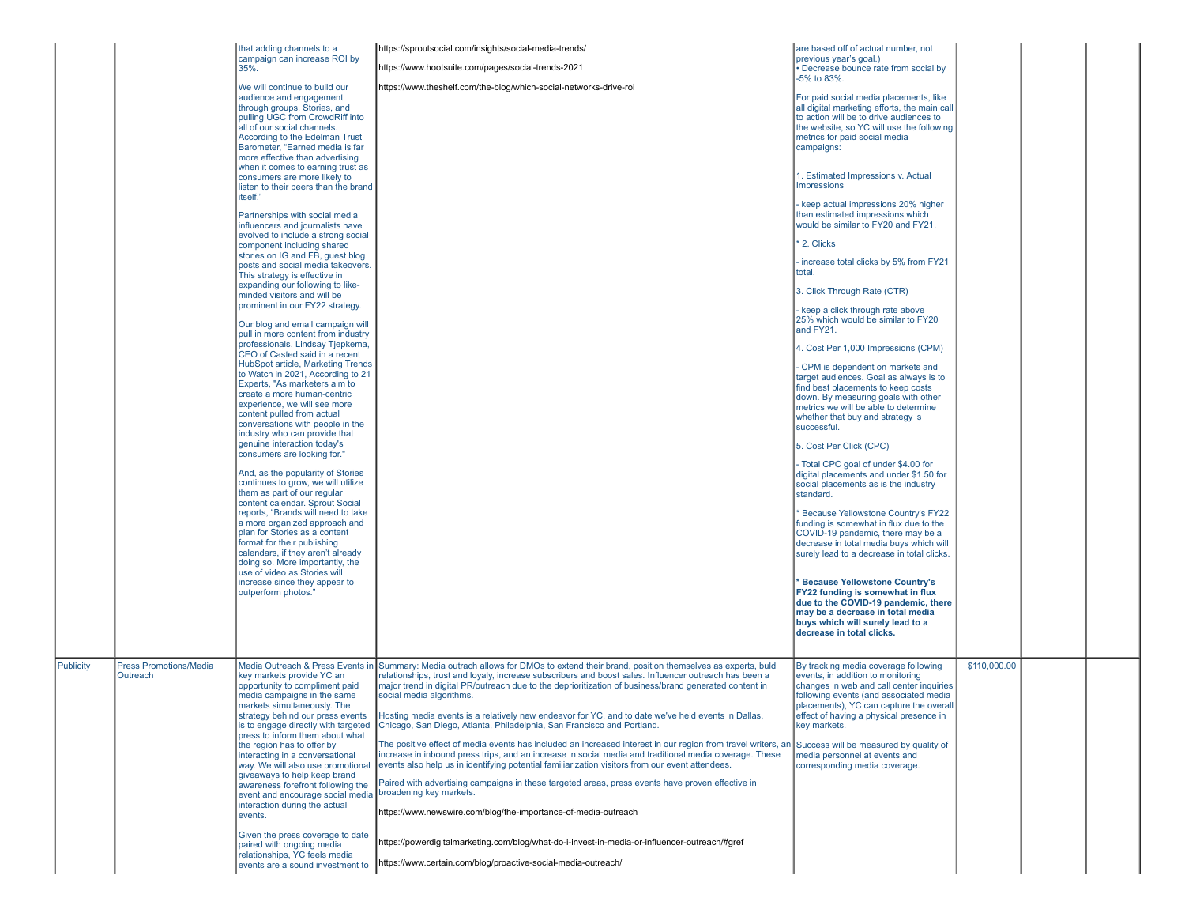|                  |                                           | that adding channels to a<br>campaign can increase ROI by<br>35%.<br>We will continue to build our<br>audience and engagement<br>through groups, Stories, and<br>pulling UGC from CrowdRiff into<br>all of our social channels.<br>According to the Edelman Trust<br>Barometer, "Earned media is far<br>more effective than advertising<br>when it comes to earning trust as<br>consumers are more likely to<br>listen to their peers than the brand<br>itself."<br>Partnerships with social media<br>influencers and journalists have<br>evolved to include a strong social<br>component including shared<br>stories on IG and FB, guest blog<br>posts and social media takeovers.<br>This strategy is effective in<br>expanding our following to like-<br>minded visitors and will be<br>prominent in our FY22 strategy.<br>Our blog and email campaign will<br>pull in more content from industry<br>professionals. Lindsay Tjepkema,<br>CEO of Casted said in a recent<br>HubSpot article, Marketing Trends<br>to Watch in 2021, According to 21<br>Experts, "As marketers aim to<br>create a more human-centric<br>experience, we will see more<br>content pulled from actual<br>conversations with people in the<br>industry who can provide that<br>genuine interaction today's<br>consumers are looking for."<br>And, as the popularity of Stories<br>continues to grow, we will utilize<br>them as part of our regular<br>content calendar. Sprout Social<br>reports, "Brands will need to take<br>a more organized approach and<br>plan for Stories as a content<br>format for their publishing<br>calendars, if they aren't already<br>doing so. More importantly, the<br>use of video as Stories will<br>increase since they appear to<br>outperform photos." | https://sproutsocial.com/insights/social-media-trends/<br>https://www.hootsuite.com/pages/social-trends-2021<br>https://www.theshelf.com/the-blog/which-social-networks-drive-roi                                                                                                                                                                                                                                                                                                                                                                                                                                                                                                                                                                                                                                                                                                                                                                                                                                                                                                                                                                                                                                                       | are based off of actual number, not<br>previous year's goal.)<br>• Decrease bounce rate from social by<br>-5% to 83%.<br>For paid social media placements, like<br>all digital marketing efforts, the main call<br>to action will be to drive audiences to<br>the website, so YC will use the following<br>metrics for paid social media<br>campaigns:<br>1. Estimated Impressions v. Actual<br><b>Impressions</b><br>keep actual impressions 20% higher<br>than estimated impressions which<br>would be similar to FY20 and FY21.<br>2. Clicks<br>increase total clicks by 5% from FY21<br>total.<br>3. Click Through Rate (CTR)<br>keep a click through rate above<br>25% which would be similar to FY20<br>and FY21.<br>4. Cost Per 1,000 Impressions (CPM)<br>CPM is dependent on markets and<br>target audiences. Goal as always is to<br>find best placements to keep costs<br>down. By measuring goals with other<br>metrics we will be able to determine<br>whether that buy and strategy is<br>successful.<br>5. Cost Per Click (CPC)<br>- Total CPC goal of under \$4.00 for<br>digital placements and under \$1.50 for<br>social placements as is the industry<br>standard.<br>Because Yellowstone Country's FY22<br>funding is somewhat in flux due to the<br>COVID-19 pandemic, there may be a<br>decrease in total media buys which will<br>surely lead to a decrease in total clicks.<br><b>Because Yellowstone Country's</b><br>FY22 funding is somewhat in flux<br>due to the COVID-19 pandemic, there<br>may be a decrease in total media<br>buys which will surely lead to a<br>decrease in total clicks. |              |  |  |
|------------------|-------------------------------------------|---------------------------------------------------------------------------------------------------------------------------------------------------------------------------------------------------------------------------------------------------------------------------------------------------------------------------------------------------------------------------------------------------------------------------------------------------------------------------------------------------------------------------------------------------------------------------------------------------------------------------------------------------------------------------------------------------------------------------------------------------------------------------------------------------------------------------------------------------------------------------------------------------------------------------------------------------------------------------------------------------------------------------------------------------------------------------------------------------------------------------------------------------------------------------------------------------------------------------------------------------------------------------------------------------------------------------------------------------------------------------------------------------------------------------------------------------------------------------------------------------------------------------------------------------------------------------------------------------------------------------------------------------------------------------------------------------------------------------------------------------------------------------|-----------------------------------------------------------------------------------------------------------------------------------------------------------------------------------------------------------------------------------------------------------------------------------------------------------------------------------------------------------------------------------------------------------------------------------------------------------------------------------------------------------------------------------------------------------------------------------------------------------------------------------------------------------------------------------------------------------------------------------------------------------------------------------------------------------------------------------------------------------------------------------------------------------------------------------------------------------------------------------------------------------------------------------------------------------------------------------------------------------------------------------------------------------------------------------------------------------------------------------------|------------------------------------------------------------------------------------------------------------------------------------------------------------------------------------------------------------------------------------------------------------------------------------------------------------------------------------------------------------------------------------------------------------------------------------------------------------------------------------------------------------------------------------------------------------------------------------------------------------------------------------------------------------------------------------------------------------------------------------------------------------------------------------------------------------------------------------------------------------------------------------------------------------------------------------------------------------------------------------------------------------------------------------------------------------------------------------------------------------------------------------------------------------------------------------------------------------------------------------------------------------------------------------------------------------------------------------------------------------------------------------------------------------------------------------------------------------------------------------------------------------------------------------------------------------------------------------------------------------------------------|--------------|--|--|
| <b>Publicity</b> | <b>Press Promotions/Media</b><br>Outreach | key markets provide YC an<br>opportunity to compliment paid<br>media campaigns in the same<br>markets simultaneously. The<br>strategy behind our press events<br>is to engage directly with targeted<br>press to inform them about what<br>the region has to offer by<br>interacting in a conversational<br>way. We will also use promotional<br>giveaways to help keep brand<br>awareness forefront following the<br>event and encourage social media broadening key markets.<br>interaction during the actual<br>events.<br>Given the press coverage to date<br>paired with ongoing media<br>relationships, YC feels media<br>events are a sound investment to                                                                                                                                                                                                                                                                                                                                                                                                                                                                                                                                                                                                                                                                                                                                                                                                                                                                                                                                                                                                                                                                                                          | Media Outreach & Press Events in Summary: Media outrach allows for DMOs to extend their brand, position themselves as experts, buld<br>relationships, trust and loyaly, increase subscribers and boost sales. Influencer outreach has been a<br>major trend in digital PR/outreach due to the deprioritization of business/brand generated content in<br>social media algorithms.<br>Hosting media events is a relatively new endeavor for YC, and to date we've held events in Dallas,<br>Chicago, San Diego, Atlanta, Philadelphia, San Francisco and Portland.<br>The positive effect of media events has included an increased interest in our region from travel writers, are<br>increase in inbound press trips, and an increase in social media and traditional media coverage. These<br>events also help us in identifying potential familiarization visitors from our event attendees.<br>Paired with advertising campaigns in these targeted areas, press events have proven effective in<br>https://www.newswire.com/blog/the-importance-of-media-outreach<br>https://powerdigitalmarketing.com/blog/what-do-i-invest-in-media-or-influencer-outreach/#gref<br>https://www.certain.com/blog/proactive-social-media-outreach/ | By tracking media coverage following<br>events, in addition to monitoring<br>changes in web and call center inquiries<br>following events (and associated media<br>placements), YC can capture the overall<br>effect of having a physical presence in<br>key markets.<br>Success will be measured by quality of<br>media personnel at events and<br>corresponding media coverage.                                                                                                                                                                                                                                                                                                                                                                                                                                                                                                                                                                                                                                                                                                                                                                                                                                                                                                                                                                                                                                                                                                                                                                                                                                            | \$110,000.00 |  |  |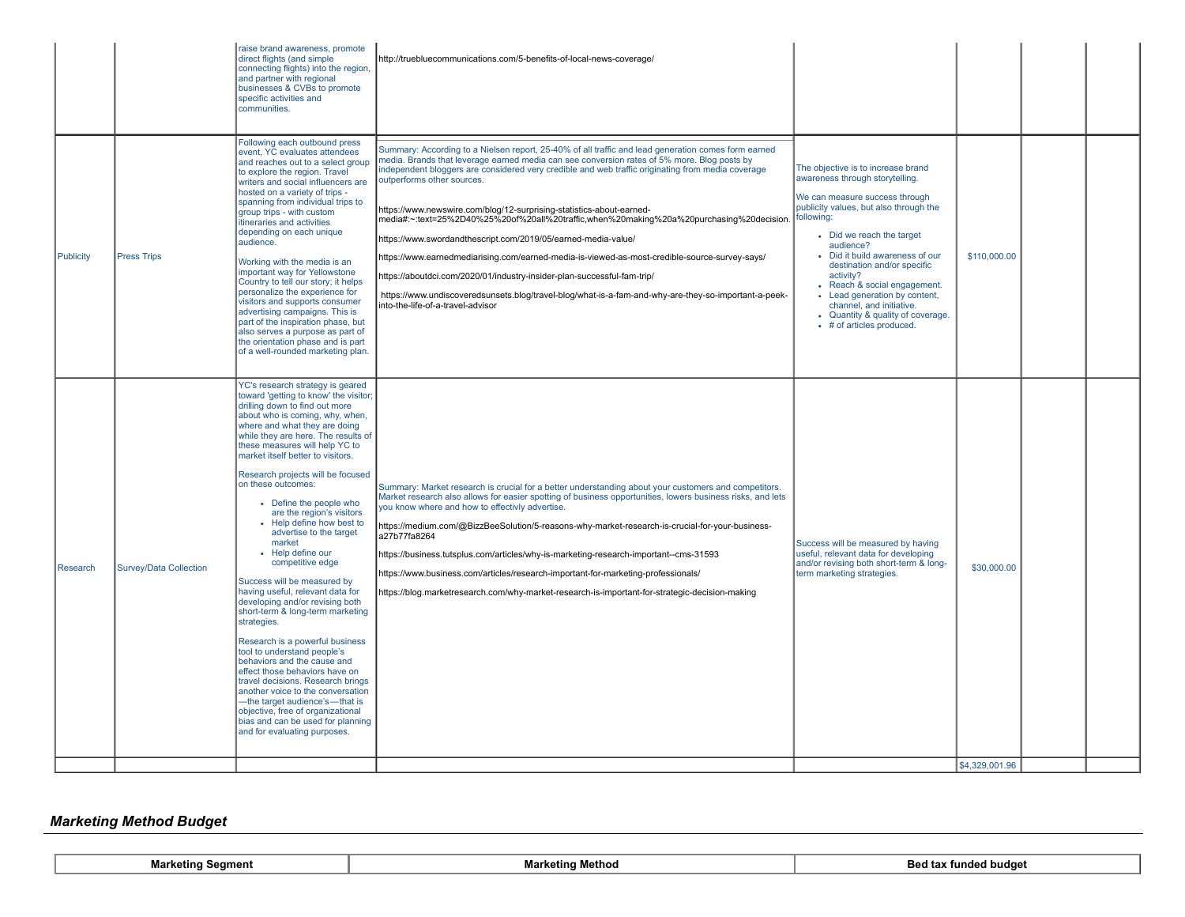|           |                        | raise brand awareness, promote<br>direct flights (and simple<br>connecting flights) into the region,<br>and partner with regional<br>businesses & CVBs to promote<br>specific activities and<br>communities.                                                                                                                                                                                                                                                                                                                                                                                                                                                                                                                                                                                                                                                                                                                                                                                                                                  | http://truebluecommunications.com/5-benefits-of-local-news-coverage/                                                                                                                                                                                                                                                                                                                                                                                                                                                                                                                                                                                                                                                                                                                                                                                                                                |                                                                                                                                                                                                                                                                                                                                                                                                                                                       |                               |  |
|-----------|------------------------|-----------------------------------------------------------------------------------------------------------------------------------------------------------------------------------------------------------------------------------------------------------------------------------------------------------------------------------------------------------------------------------------------------------------------------------------------------------------------------------------------------------------------------------------------------------------------------------------------------------------------------------------------------------------------------------------------------------------------------------------------------------------------------------------------------------------------------------------------------------------------------------------------------------------------------------------------------------------------------------------------------------------------------------------------|-----------------------------------------------------------------------------------------------------------------------------------------------------------------------------------------------------------------------------------------------------------------------------------------------------------------------------------------------------------------------------------------------------------------------------------------------------------------------------------------------------------------------------------------------------------------------------------------------------------------------------------------------------------------------------------------------------------------------------------------------------------------------------------------------------------------------------------------------------------------------------------------------------|-------------------------------------------------------------------------------------------------------------------------------------------------------------------------------------------------------------------------------------------------------------------------------------------------------------------------------------------------------------------------------------------------------------------------------------------------------|-------------------------------|--|
| Publicity | <b>Press Trips</b>     | Following each outbound press<br>event, YC evaluates attendees<br>and reaches out to a select group<br>to explore the region. Travel<br>writers and social influencers are<br>hosted on a variety of trips -<br>spanning from individual trips to<br>group trips - with custom<br>itineraries and activities<br>depending on each unique<br>audience.<br>Working with the media is an<br>important way for Yellowstone<br>Country to tell our story; it helps<br>personalize the experience for<br>visitors and supports consumer<br>advertising campaigns. This is<br>part of the inspiration phase, but<br>also serves a purpose as part of<br>the orientation phase and is part<br>of a well-rounded marketing plan.                                                                                                                                                                                                                                                                                                                       | Summary: According to a Nielsen report, 25-40% of all traffic and lead generation comes form earned<br>media. Brands that leverage earned media can see conversion rates of 5% more. Blog posts by<br>independent bloggers are considered very credible and web traffic originating from media coverage<br>outperforms other sources.<br>https://www.newswire.com/blog/12-surprising-statistics-about-earned-<br>media#:∼:text=25%2D40%25%20of%20all%20traffic,when%20making%20a%20purchasing%20decision.<br>https://www.swordandthescript.com/2019/05/earned-media-value/<br>https://www.earnedmediarising.com/earned-media-is-viewed-as-most-credible-source-survey-says/<br>https://aboutdci.com/2020/01/industry-insider-plan-successful-fam-trip/<br>https://www.undiscoveredsunsets.blog/travel-blog/what-is-a-fam-and-why-are-they-so-important-a-peek-<br>into-the-life-of-a-travel-advisor | The objective is to increase brand<br>awareness through storytelling.<br>We can measure success through<br>publicity values, but also through the<br>following:<br>• Did we reach the target<br>audience?<br>Did it build awareness of our<br>destination and/or specific<br>activity?<br>• Reach & social engagement.<br>• Lead generation by content,<br>channel, and initiative.<br>• Quantity & quality of coverage.<br>• # of articles produced. | \$110,000.00                  |  |
| Research  | Survey/Data Collection | YC's research strategy is geared<br>toward 'getting to know' the visitor;<br>drilling down to find out more<br>about who is coming, why, when,<br>where and what they are doing<br>while they are here. The results of<br>these measures will help YC to<br>market itself better to visitors.<br>Research projects will be focused<br>on these outcomes:<br>• Define the people who<br>are the region's visitors<br>• Help define how best to<br>advertise to the target<br>market<br>• Help define our<br>competitive edge<br>Success will be measured by<br>having useful, relevant data for<br>developing and/or revising both<br>short-term & long-term marketing<br>strategies.<br>Research is a powerful business<br>tool to understand people's<br>behaviors and the cause and<br>effect those behaviors have on<br>travel decisions. Research brings<br>another voice to the conversation<br>-the target audience's-that is<br>objective, free of organizational<br>bias and can be used for planning<br>and for evaluating purposes. | Summary: Market research is crucial for a better understanding about your customers and competitors.<br>Market research also allows for easier spotting of business opportunities, lowers business risks, and lets<br>you know where and how to effectivly advertise.<br>https://medium.com/@BizzBeeSolution/5-reasons-why-market-research-is-crucial-for-your-business-<br>a27b77fa8264<br>https://business.tutsplus.com/articles/why-is-marketing-research-important--cms-31593<br>https://www.business.com/articles/research-important-for-marketing-professionals/<br>https://blog.marketresearch.com/why-market-research-is-important-for-strategic-decision-making                                                                                                                                                                                                                            | Success will be measured by having<br>useful, relevant data for developing<br>and/or revising both short-term & long-<br>term marketing strategies.                                                                                                                                                                                                                                                                                                   | \$30,000.00<br>\$4,329,001.96 |  |

# *Marketing Method Budget*

**Marketing Segment Bed** tax funded budget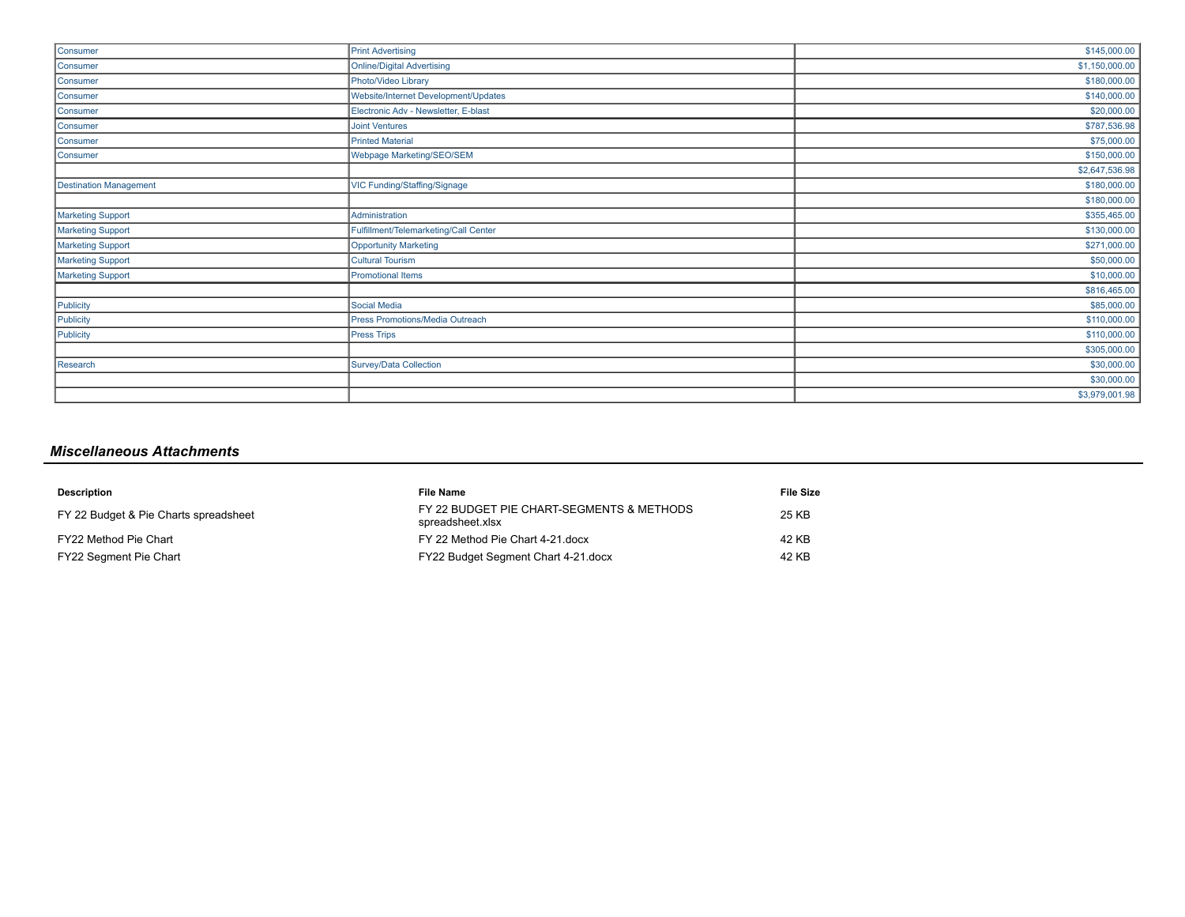| Consumer               | <b>Print Advertising</b>              | \$145,000.00   |
|------------------------|---------------------------------------|----------------|
| Consumer               | <b>Online/Digital Advertising</b>     | \$1,150,000.00 |
| Consumer               | Photo/Video Library                   | \$180,000.00   |
| Consumer               | Website/Internet Development/Updates  | \$140,000.00   |
| Consumer               | Electronic Adv - Newsletter, E-blast  | \$20,000.00    |
| Consumer               | <b>Joint Ventures</b>                 | \$787,536.98   |
| Consumer               | <b>Printed Material</b>               | \$75,000.00    |
| Consumer               | Webpage Marketing/SEO/SEM             | \$150,000.00   |
|                        |                                       | \$2,647,536.98 |
| Destination Management | VIC Funding/Staffing/Signage          | \$180,000.00   |
|                        |                                       | \$180,000.00   |
| Marketing Support      | Administration                        | \$355,465.00   |
| Marketing Support      | Fulfillment/Telemarketing/Call Center | \$130,000.00   |
| Marketing Support      | <b>Opportunity Marketing</b>          | \$271,000.00   |
| Marketing Support      | Cultural Tourism                      | \$50,000.00    |
| Marketing Support      | Promotional Items                     | \$10,000.00    |
|                        |                                       | \$816,465.00   |
| Publicity              | Social Media                          | \$85,000.00    |
| Publicity              | Press Promotions/Media Outreach       | \$110,000.00   |
| Publicity              | <b>Press Trips</b>                    | \$110,000.00   |
|                        |                                       | \$305,000.00   |
| Research               | Survey/Data Collection                | \$30,000.00    |
|                        |                                       | \$30,000.00    |
|                        |                                       | \$3,979,001.98 |

# *Miscellaneous Attachments*

| <b>Description</b>                    | <b>File Name</b>                                              | File Size |
|---------------------------------------|---------------------------------------------------------------|-----------|
| FY 22 Budget & Pie Charts spreadsheet | FY 22 BUDGET PIE CHART-SEGMENTS & METHODS<br>spreadsheet.xlsx | 25 KB     |
| FY22 Method Pie Chart                 | FY 22 Method Pie Chart 4-21 docx                              | 42 KB     |
| FY22 Segment Pie Chart                | FY22 Budget Segment Chart 4-21 docx                           | 42 KB     |